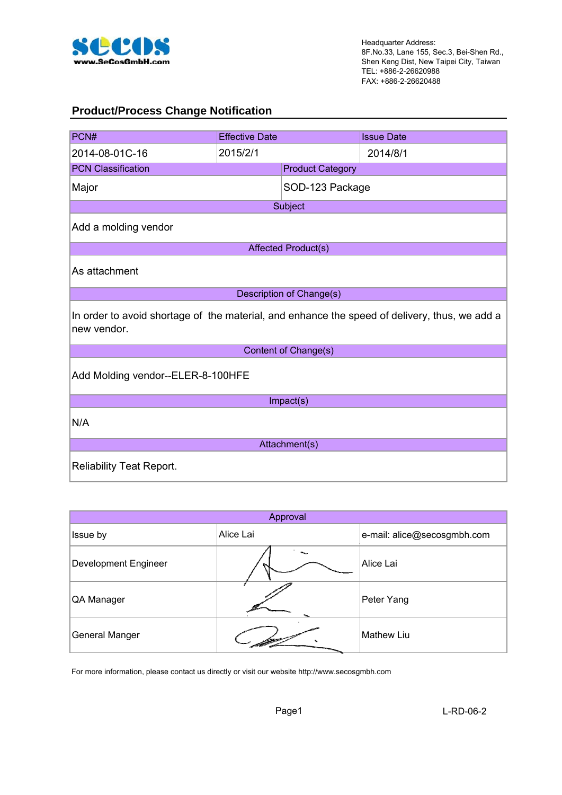

#### **Product/Process Change Notification**

| PCN#                                                                                                         | <b>Effective Date</b>             |                            | <b>Issue Date</b> |  |  |  |
|--------------------------------------------------------------------------------------------------------------|-----------------------------------|----------------------------|-------------------|--|--|--|
| 2014-08-01C-16                                                                                               | 2015/2/1                          |                            | 2014/8/1          |  |  |  |
| <b>PCN Classification</b>                                                                                    |                                   | <b>Product Category</b>    |                   |  |  |  |
| Major                                                                                                        |                                   | SOD-123 Package            |                   |  |  |  |
|                                                                                                              |                                   | Subject                    |                   |  |  |  |
| Add a molding vendor                                                                                         |                                   |                            |                   |  |  |  |
|                                                                                                              |                                   | <b>Affected Product(s)</b> |                   |  |  |  |
| As attachment                                                                                                |                                   |                            |                   |  |  |  |
|                                                                                                              |                                   | Description of Change(s)   |                   |  |  |  |
| In order to avoid shortage of the material, and enhance the speed of delivery, thus, we add a<br>new vendor. |                                   |                            |                   |  |  |  |
|                                                                                                              |                                   | Content of Change(s)       |                   |  |  |  |
|                                                                                                              | Add Molding vendor--ELER-8-100HFE |                            |                   |  |  |  |
|                                                                                                              |                                   | Impact(s)                  |                   |  |  |  |
| N/A                                                                                                          |                                   |                            |                   |  |  |  |
| Attachment(s)                                                                                                |                                   |                            |                   |  |  |  |
| <b>Reliability Teat Report.</b>                                                                              |                                   |                            |                   |  |  |  |

| Approval                    |           |                             |  |  |  |  |  |
|-----------------------------|-----------|-----------------------------|--|--|--|--|--|
| Issue by                    | Alice Lai | e-mail: alice@secosgmbh.com |  |  |  |  |  |
| <b>Development Engineer</b> |           | Alice Lai                   |  |  |  |  |  |
| QA Manager                  |           | Peter Yang                  |  |  |  |  |  |
| General Manger              |           | <b>Mathew Liu</b>           |  |  |  |  |  |

For more information, please contact us directly or visit our website http://www.secosgmbh.com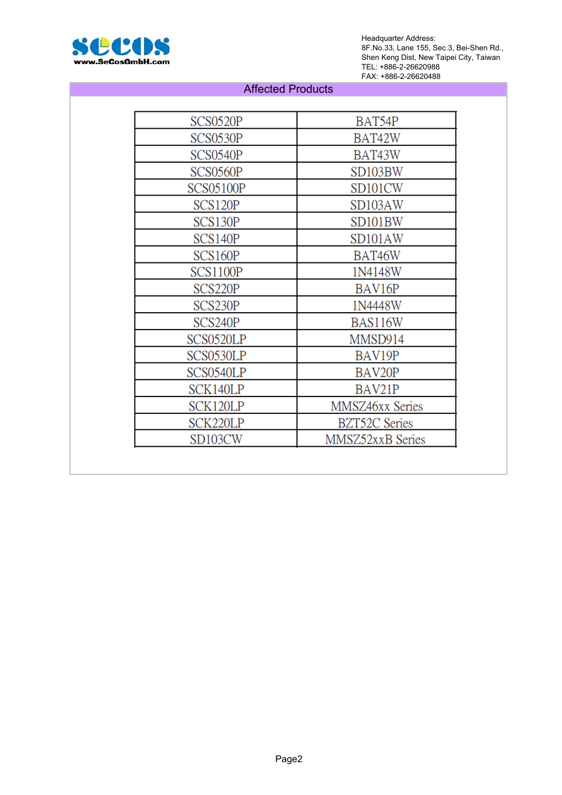

Headquarter Address: 8F.No.33, Lane 155, Sec.3, Bei-Shen Rd., Shen Keng Dist, New Taipei City, Taiwan TEL: +886-2-26620988 FAX: +886-2-26620488

#### Affected Products

| SCS0520P         | BAT54P               |
|------------------|----------------------|
| SCS0530P         | BAT42W               |
| SCS0540P         | BAT43W               |
| SCS0560P         | SD103BW              |
| <b>SCS05100P</b> | SD101CW              |
| SCS120P          | SD103AW              |
| SCS130P          | SD101BW              |
| SCS140P          | SD101AW              |
| SCS160P          | BAT46W               |
| <b>SCS1100P</b>  | 1N4148W              |
| SCS220P          | BAV16P               |
| SCS230P          | 1N4448W              |
| SCS240P          | BAS116W              |
| SCS0520LP        | MMSD914              |
| SCS0530LP        | BAV19P               |
| SCS0540LP        | BAV20P               |
| SCK140LP         | BAV21P               |
| SCK120LP         | MMSZ46xx Series      |
| SCK220LP         | <b>BZT52C Series</b> |
| SD103CW          | MMSZ52xxB Series     |
|                  |                      |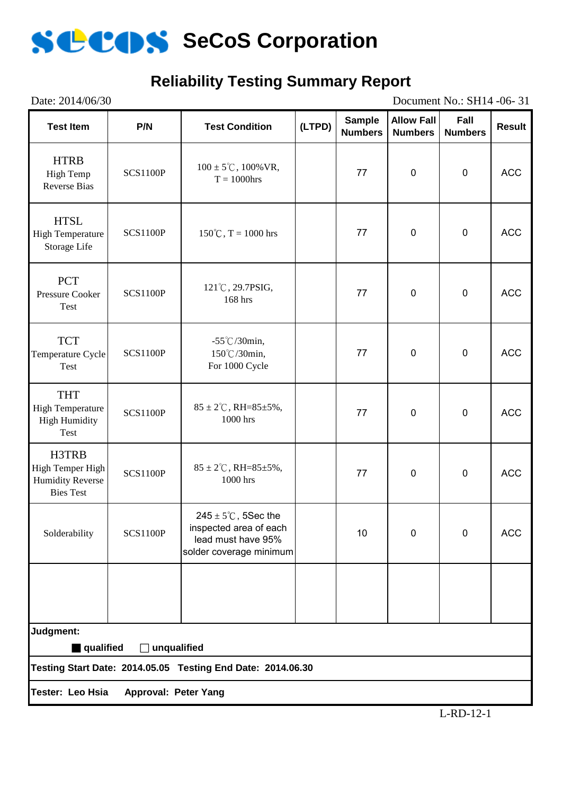

# **Reliability Testing Summary Report**

| Date: 2014/06/30                                                         | Document No.: SH14 -06-31   |                                                                                                            |        |                                 |                                     |                        |               |
|--------------------------------------------------------------------------|-----------------------------|------------------------------------------------------------------------------------------------------------|--------|---------------------------------|-------------------------------------|------------------------|---------------|
| <b>Test Item</b>                                                         | P/N                         | <b>Test Condition</b>                                                                                      | (LTPD) | <b>Sample</b><br><b>Numbers</b> | <b>Allow Fall</b><br><b>Numbers</b> | Fall<br><b>Numbers</b> | <b>Result</b> |
| <b>HTRB</b><br><b>High Temp</b><br><b>Reverse Bias</b>                   | <b>SCS1100P</b>             | $100 \pm 5^{\circ}$ C, $100\%$ VR,<br>$T = 1000$ hrs                                                       |        | 77                              | $\pmb{0}$                           | $\mathbf 0$            | <b>ACC</b>    |
| <b>HTSL</b><br><b>High Temperature</b><br>Storage Life                   | <b>SCS1100P</b>             | $150^{\circ}$ C, T = 1000 hrs                                                                              | 77     |                                 | $\pmb{0}$                           | $\pmb{0}$              | <b>ACC</b>    |
| <b>PCT</b><br>Pressure Cooker<br>Test                                    | <b>SCS1100P</b>             | 121°C, 29.7PSIG,<br>77<br>168 hrs                                                                          |        |                                 | $\mathbf 0$                         | $\mathbf 0$            | <b>ACC</b>    |
| <b>TCT</b><br>Temperature Cycle<br><b>Test</b>                           | <b>SCS1100P</b>             | $-55^{\circ}$ C/30min,<br>150℃/30min,<br>For 1000 Cycle                                                    |        | 77                              | $\pmb{0}$                           | $\pmb{0}$              | <b>ACC</b>    |
| <b>THT</b><br><b>High Temperature</b><br><b>High Humidity</b><br>Test    | <b>SCS1100P</b>             | $85 \pm 2^{\circ}$ C, RH= $85 \pm 5\%$ ,<br>1000 hrs                                                       |        | 77                              | $\mathbf 0$                         | $\pmb{0}$              | <b>ACC</b>    |
| H3TRB<br>High Temper High<br><b>Humidity Reverse</b><br><b>Bies Test</b> | <b>SCS1100P</b>             | $85 \pm 2^{\circ}$ C, RH= $85 \pm 5\%$ ,<br>1000 hrs                                                       |        | 77                              | $\pmb{0}$                           | $\mathbf 0$            | <b>ACC</b>    |
| Solderability                                                            | <b>SCS1100P</b>             | $245 \pm 5^{\circ}$ C, 5Sec the<br>inspected area of each<br>lead must have 95%<br>solder coverage minimum |        | 10                              | $\mathbf 0$                         | $\mathbf 0$            | <b>ACC</b>    |
|                                                                          |                             |                                                                                                            |        |                                 |                                     |                        |               |
| Judgment:                                                                |                             |                                                                                                            |        |                                 |                                     |                        |               |
| qualified                                                                | unqualified                 | Testing Start Date: 2014.05.05 Testing End Date: 2014.06.30                                                |        |                                 |                                     |                        |               |
|                                                                          |                             |                                                                                                            |        |                                 |                                     |                        |               |
| Tester: Leo Hsia                                                         | <b>Approval: Peter Yang</b> |                                                                                                            |        |                                 |                                     |                        |               |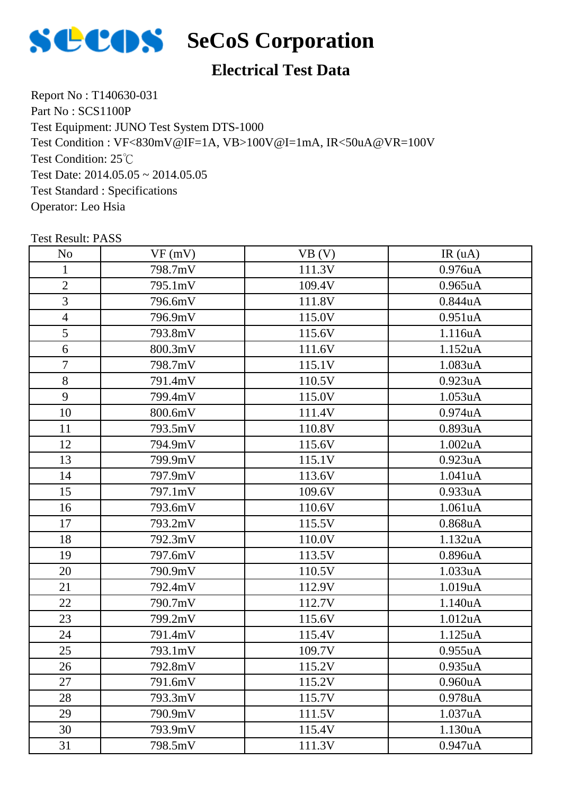

## **Electrical Test Data**

Report No : T140630-031 Part No : SCS1100P Test Equipment: JUNO Test System DTS-1000 Test Condition: 25℃ Test Date: 2014.05.05 ~ 2014.05.05 Test Standard : Specifications Operator: Leo Hsia Test Condition : VF<830mV@IF=1A, VB>100V@I=1mA, IR<50uA@VR=100V

| N <sub>o</sub> | VF(mV)  | VB (V) | IR(uA)               |
|----------------|---------|--------|----------------------|
| $\mathbf{1}$   | 798.7mV | 111.3V | 0.976uA              |
| $\overline{2}$ | 795.1mV | 109.4V | $0.965$ uA           |
| 3              | 796.6mV | 111.8V | 0.844uA              |
| $\overline{4}$ | 796.9mV | 115.0V | 0.951uA              |
| 5              | 793.8mV | 115.6V | 1.116uA              |
| 6              | 800.3mV | 111.6V | 1.152uA              |
| $\overline{7}$ | 798.7mV | 115.1V | 1.083uA              |
| 8              | 791.4mV | 110.5V | 0.923uA              |
| 9              | 799.4mV | 115.0V | 1.053uA              |
| 10             | 800.6mV | 111.4V | 0.974uA              |
| 11             | 793.5mV | 110.8V | 0.893uA              |
| 12             | 794.9mV | 115.6V | 1.002uA              |
| 13             | 799.9mV | 115.1V | 0.923uA              |
| 14             | 797.9mV | 113.6V | 1.041uA              |
| 15             | 797.1mV | 109.6V | 0.933uA              |
| 16             | 793.6mV | 110.6V | 1.061uA              |
| 17             | 793.2mV | 115.5V | 0.868uA              |
| 18             | 792.3mV | 110.0V | 1.132uA              |
| 19             | 797.6mV | 113.5V | 0.896 <sub>u</sub> A |
| 20             | 790.9mV | 110.5V | 1.033uA              |
| 21             | 792.4mV | 112.9V | 1.019uA              |
| 22             | 790.7mV | 112.7V | 1.140uA              |
| 23             | 799.2mV | 115.6V | 1.012uA              |
| 24             | 791.4mV | 115.4V | 1.125uA              |
| 25             | 793.1mV | 109.7V | 0.955uA              |
| 26             | 792.8mV | 115.2V | 0.935uA              |
| 27             | 791.6mV | 115.2V | 0.960 <sub>u</sub> A |
| 28             | 793.3mV | 115.7V | 0.978uA              |
| 29             | 790.9mV | 111.5V | 1.037uA              |
| 30             | 793.9mV | 115.4V | 1.130uA              |
| 31             | 798.5mV | 111.3V | 0.947uA              |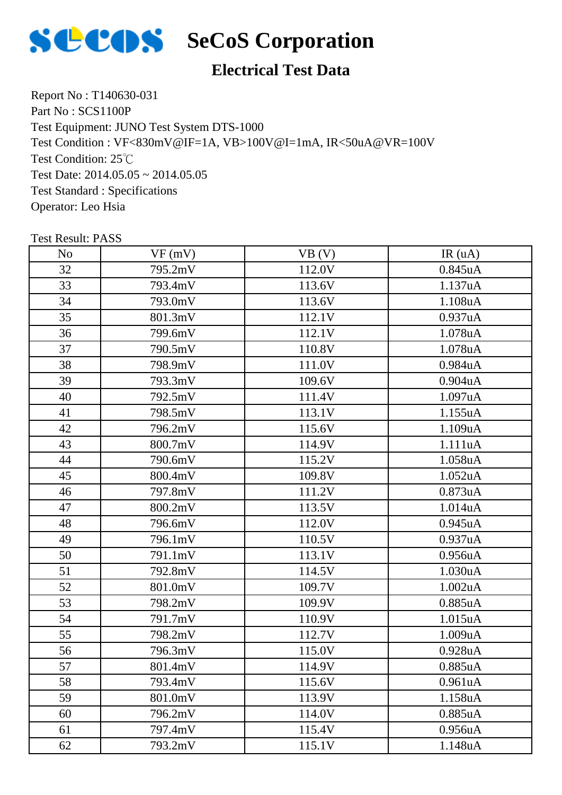

### **Electrical Test Data**

Report No : T140630-031 Part No : SCS1100P Test Equipment: JUNO Test System DTS-1000 Test Condition: 25℃ Test Date: 2014.05.05 ~ 2014.05.05 Test Standard : Specifications Operator: Leo Hsia Test Condition : VF<830mV@IF=1A, VB>100V@I=1mA, IR<50uA@VR=100V

| N <sub>o</sub> | VF(mV)  | VB (V) | IR(uA)               |
|----------------|---------|--------|----------------------|
| 32             | 795.2mV | 112.0V | 0.845uA              |
| 33             | 793.4mV | 113.6V | 1.137uA              |
| 34             | 793.0mV | 113.6V | 1.108uA              |
| 35             | 801.3mV | 112.1V | 0.937uA              |
| 36             | 799.6mV | 112.1V | 1.078uA              |
| 37             | 790.5mV | 110.8V | 1.078uA              |
| 38             | 798.9mV | 111.0V | 0.984uA              |
| 39             | 793.3mV | 109.6V | $0.904$ u $A$        |
| 40             | 792.5mV | 111.4V | 1.097uA              |
| 41             | 798.5mV | 113.1V | 1.155uA              |
| 42             | 796.2mV | 115.6V | 1.109uA              |
| 43             | 800.7mV | 114.9V | 1.111uA              |
| 44             | 790.6mV | 115.2V | 1.058uA              |
| 45             | 800.4mV | 109.8V | 1.052 <sub>u</sub> A |
| 46             | 797.8mV | 111.2V | 0.873uA              |
| 47             | 800.2mV | 113.5V | 1.014uA              |
| 48             | 796.6mV | 112.0V | 0.945uA              |
| 49             | 796.1mV | 110.5V | 0.937uA              |
| 50             | 791.1mV | 113.1V | 0.956uA              |
| 51             | 792.8mV | 114.5V | 1.030uA              |
| 52             | 801.0mV | 109.7V | 1.002uA              |
| 53             | 798.2mV | 109.9V | 0.885uA              |
| 54             | 791.7mV | 110.9V | 1.015uA              |
| 55             | 798.2mV | 112.7V | 1.009uA              |
| 56             | 796.3mV | 115.0V | 0.928uA              |
| 57             | 801.4mV | 114.9V | $0.885$ uA           |
| 58             | 793.4mV | 115.6V | 0.961uA              |
| 59             | 801.0mV | 113.9V | 1.158uA              |
| 60             | 796.2mV | 114.0V | $0.885$ uA           |
| 61             | 797.4mV | 115.4V | 0.956 <sub>u</sub> A |
| 62             | 793.2mV | 115.1V | 1.148uA              |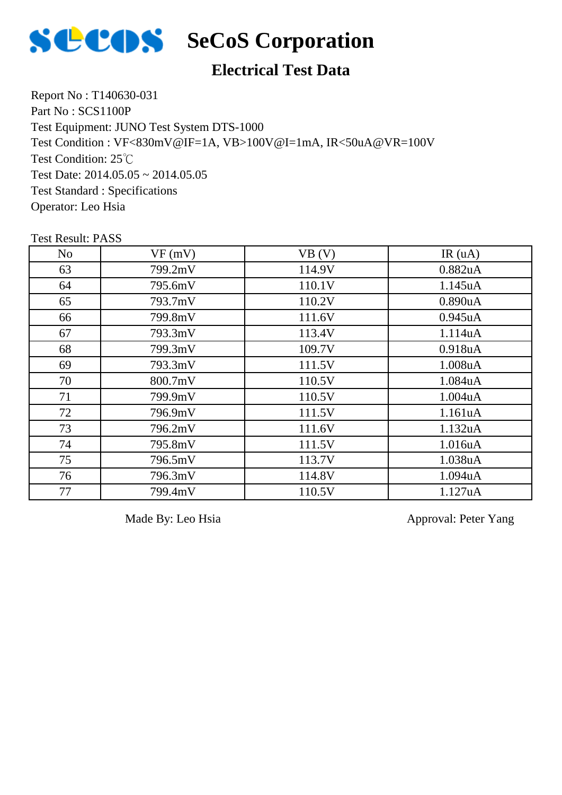

### **Electrical Test Data**

Report No : T140630-031 Part No : SCS1100P Test Equipment: JUNO Test System DTS-1000 Test Condition: 25℃ Test Date:  $2014.05.05 \approx 2014.05.05$ Test Standard : Specifications Operator: Leo Hsia Test Condition : VF<830mV@IF=1A, VB>100V@I=1mA, IR<50uA@VR=100V

Test Result: PASS

| N <sub>o</sub> | VF(mV)  | VB (V) | IR(uA)     |
|----------------|---------|--------|------------|
| 63             | 799.2mV | 114.9V | 0.882uA    |
| 64             | 795.6mV | 110.1V | 1.145uA    |
| 65             | 793.7mV | 110.2V | 0.890uA    |
| 66             | 799.8mV | 111.6V | $0.945$ uA |
| 67             | 793.3mV | 113.4V | 1.114uA    |
| 68             | 799.3mV | 109.7V | 0.918uA    |
| 69             | 793.3mV | 111.5V | 1.008uA    |
| 70             | 800.7mV | 110.5V | 1.084uA    |
| 71             | 799.9mV | 110.5V | 1.004uA    |
| 72             | 796.9mV | 111.5V | 1.161uA    |
| 73             | 796.2mV | 111.6V | 1.132uA    |
| 74             | 795.8mV | 111.5V | 1.016uA    |
| 75             | 796.5mV | 113.7V | 1.038uA    |
| 76             | 796.3mV | 114.8V | 1.094uA    |
| 77             | 799.4mV | 110.5V | 1.127uA    |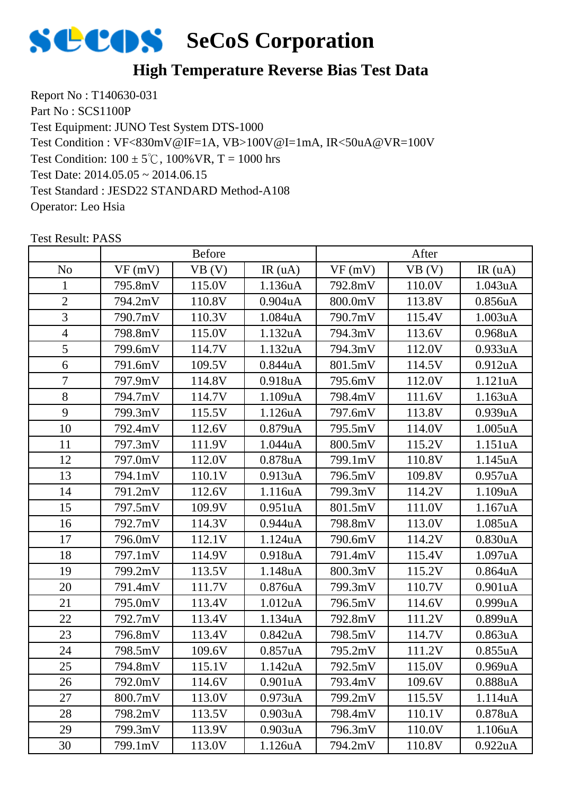

### **High Temperature Reverse Bias Test Data**

Report No : T140630-031 Part No : SCS1100P Test Equipment: JUNO Test System DTS-1000 Test Condition:  $100 \pm 5^{\circ}$ C,  $100\%$  VR, T = 1000 hrs Test Date: 2014.05.05 ~ 2014.06.15 Test Standard : JESD22 STANDARD Method-A108 Operator: Leo Hsia Test Condition : VF<830mV@IF=1A, VB>100V@I=1mA, IR<50uA@VR=100V

|                | <b>Before</b> |        |                      | After   |        |                      |
|----------------|---------------|--------|----------------------|---------|--------|----------------------|
| N <sub>o</sub> | VF(mV)        | VB(V)  | IR(uA)               | VF(mV)  | VB (V) | IR $(uA)$            |
| 1              | 795.8mV       | 115.0V | 1.136uA              | 792.8mV | 110.0V | 1.043uA              |
| $\overline{2}$ | 794.2mV       | 110.8V | $0.904$ u $A$        | 800.0mV | 113.8V | 0.856 <sub>u</sub> A |
| 3              | 790.7mV       | 110.3V | 1.084uA              | 790.7mV | 115.4V | 1.003uA              |
| $\overline{4}$ | 798.8mV       | 115.0V | 1.132uA              | 794.3mV | 113.6V | 0.968uA              |
| 5              | 799.6mV       | 114.7V | 1.132uA              | 794.3mV | 112.0V | 0.933uA              |
| 6              | 791.6mV       | 109.5V | 0.844uA              | 801.5mV | 114.5V | 0.912 <sub>u</sub> A |
| $\overline{7}$ | 797.9mV       | 114.8V | 0.918uA              | 795.6mV | 112.0V | 1.121uA              |
| 8              | 794.7mV       | 114.7V | 1.109uA              | 798.4mV | 111.6V | 1.163uA              |
| 9              | 799.3mV       | 115.5V | 1.126uA              | 797.6mV | 113.8V | 0.939uA              |
| 10             | 792.4mV       | 112.6V | 0.879uA              | 795.5mV | 114.0V | 1.005 <sub>u</sub> A |
| 11             | 797.3mV       | 111.9V | 1.044uA              | 800.5mV | 115.2V | 1.151uA              |
| 12             | 797.0mV       | 112.0V | 0.878uA              | 799.1mV | 110.8V | 1.145uA              |
| 13             | 794.1mV       | 110.1V | 0.913uA              | 796.5mV | 109.8V | 0.957uA              |
| 14             | 791.2mV       | 112.6V | 1.116uA              | 799.3mV | 114.2V | 1.109uA              |
| 15             | 797.5mV       | 109.9V | 0.951uA              | 801.5mV | 111.0V | 1.167uA              |
| 16             | 792.7mV       | 114.3V | 0.944uA              | 798.8mV | 113.0V | 1.085uA              |
| 17             | 796.0mV       | 112.1V | 1.124uA              | 790.6mV | 114.2V | 0.830 <sub>u</sub> A |
| 18             | 797.1mV       | 114.9V | 0.918 <sub>u</sub> A | 791.4mV | 115.4V | 1.097uA              |
| 19             | 799.2mV       | 113.5V | 1.148uA              | 800.3mV | 115.2V | $0.864$ u $A$        |
| 20             | 791.4mV       | 111.7V | 0.876 <sub>u</sub> A | 799.3mV | 110.7V | 0.901uA              |
| 21             | 795.0mV       | 113.4V | 1.012 <sub>u</sub> A | 796.5mV | 114.6V | 0.999uA              |
| 22             | 792.7mV       | 113.4V | 1.134uA              | 792.8mV | 111.2V | 0.899uA              |
| 23             | 796.8mV       | 113.4V | 0.842 <sub>u</sub> A | 798.5mV | 114.7V | 0.863uA              |
| 24             | 798.5mV       | 109.6V | 0.857uA              | 795.2mV | 111.2V | 0.855uA              |
| 25             | 794.8mV       | 115.1V | 1.142uA              | 792.5mV | 115.0V | 0.969uA              |
| 26             | 792.0mV       | 114.6V | 0.901 <sub>u</sub> A | 793.4mV | 109.6V | 0.888uA              |
| 27             | 800.7mV       | 113.0V | 0.973uA              | 799.2mV | 115.5V | 1.114uA              |
| 28             | 798.2mV       | 113.5V | 0.903uA              | 798.4mV | 110.1V | 0.878uA              |
| 29             | 799.3mV       | 113.9V | $0.903$ uA           | 796.3mV | 110.0V | 1.106uA              |
| 30             | 799.1mV       | 113.0V | 1.126uA              | 794.2mV | 110.8V | 0.922uA              |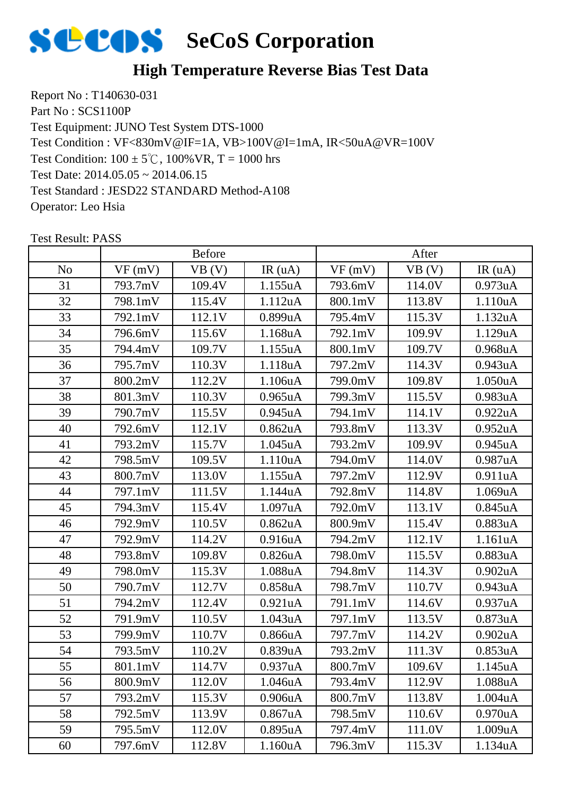

### **High Temperature Reverse Bias Test Data**

Report No : T140630-031 Part No : SCS1100P Test Equipment: JUNO Test System DTS-1000 Test Condition:  $100 \pm 5^{\circ}$ C,  $100\%$  VR, T = 1000 hrs Test Date: 2014.05.05 ~ 2014.06.15 Test Standard : JESD22 STANDARD Method-A108 Operator: Leo Hsia Test Condition : VF<830mV@IF=1A, VB>100V@I=1mA, IR<50uA@VR=100V

|                | <b>Before</b> |        |                      | After   |        |                      |
|----------------|---------------|--------|----------------------|---------|--------|----------------------|
| N <sub>o</sub> | VF(mV)        | VB (V) | IR(uA)               | VF(mV)  | VB(V)  | IR(uA)               |
| 31             | 793.7mV       | 109.4V | 1.155uA              | 793.6mV | 114.0V | 0.973uA              |
| 32             | 798.1mV       | 115.4V | 1.112uA              | 800.1mV | 113.8V | 1.110uA              |
| 33             | 792.1mV       | 112.1V | 0.899uA              | 795.4mV | 115.3V | 1.132uA              |
| 34             | 796.6mV       | 115.6V | 1.168uA              | 792.1mV | 109.9V | 1.129uA              |
| 35             | 794.4mV       | 109.7V | 1.155uA              | 800.1mV | 109.7V | 0.968 <sub>u</sub> A |
| 36             | 795.7mV       | 110.3V | 1.118uA              | 797.2mV | 114.3V | 0.943uA              |
| 37             | 800.2mV       | 112.2V | 1.106uA              | 799.0mV | 109.8V | 1.050uA              |
| 38             | 801.3mV       | 110.3V | $0.965$ uA           | 799.3mV | 115.5V | 0.983uA              |
| 39             | 790.7mV       | 115.5V | 0.945 <sub>u</sub> A | 794.1mV | 114.1V | 0.922uA              |
| 40             | 792.6mV       | 112.1V | 0.862 <sub>u</sub> A | 793.8mV | 113.3V | 0.952 <sub>u</sub> A |
| 41             | 793.2mV       | 115.7V | $1.045$ uA           | 793.2mV | 109.9V | 0.945 <sub>u</sub> A |
| 42             | 798.5mV       | 109.5V | 1.110uA              | 794.0mV | 114.0V | 0.987uA              |
| 43             | 800.7mV       | 113.0V | 1.155uA              | 797.2mV | 112.9V | 0.911uA              |
| 44             | 797.1mV       | 111.5V | 1.144uA              | 792.8mV | 114.8V | 1.069uA              |
| 45             | 794.3mV       | 115.4V | 1.097uA              | 792.0mV | 113.1V | 0.845uA              |
| 46             | 792.9mV       | 110.5V | 0.862 <sub>u</sub> A | 800.9mV | 115.4V | 0.883uA              |
| 47             | 792.9mV       | 114.2V | 0.916 <sub>u</sub> A | 794.2mV | 112.1V | 1.161uA              |
| 48             | 793.8mV       | 109.8V | 0.826 <sub>u</sub> A | 798.0mV | 115.5V | 0.883uA              |
| 49             | 798.0mV       | 115.3V | 1.088uA              | 794.8mV | 114.3V | 0.902uA              |
| 50             | 790.7mV       | 112.7V | 0.858uA              | 798.7mV | 110.7V | 0.943 <sub>u</sub> A |
| 51             | 794.2mV       | 112.4V | 0.921uA              | 791.1mV | 114.6V | 0.937uA              |
| 52             | 791.9mV       | 110.5V | 1.043uA              | 797.1mV | 113.5V | 0.873 <sub>u</sub> A |
| 53             | 799.9mV       | 110.7V | 0.866uA              | 797.7mV | 114.2V | 0.902 <sub>u</sub> A |
| 54             | 793.5mV       | 110.2V | 0.839uA              | 793.2mV | 111.3V | 0.853uA              |
| 55             | 801.1mV       | 114.7V | 0.937uA              | 800.7mV | 109.6V | 1.145uA              |
| 56             | 800.9mV       | 112.0V | 1.046 <sub>u</sub> A | 793.4mV | 112.9V | 1.088uA              |
| 57             | 793.2mV       | 115.3V | 0.906 <sub>u</sub> A | 800.7mV | 113.8V | 1.004 <sub>u</sub> A |
| 58             | 792.5mV       | 113.9V | 0.867uA              | 798.5mV | 110.6V | 0.970 <sub>u</sub> A |
| 59             | 795.5mV       | 112.0V | 0.895uA              | 797.4mV | 111.0V | 1.009uA              |
| 60             | 797.6mV       | 112.8V | 1.160uA              | 796.3mV | 115.3V | 1.134 <sub>u</sub> A |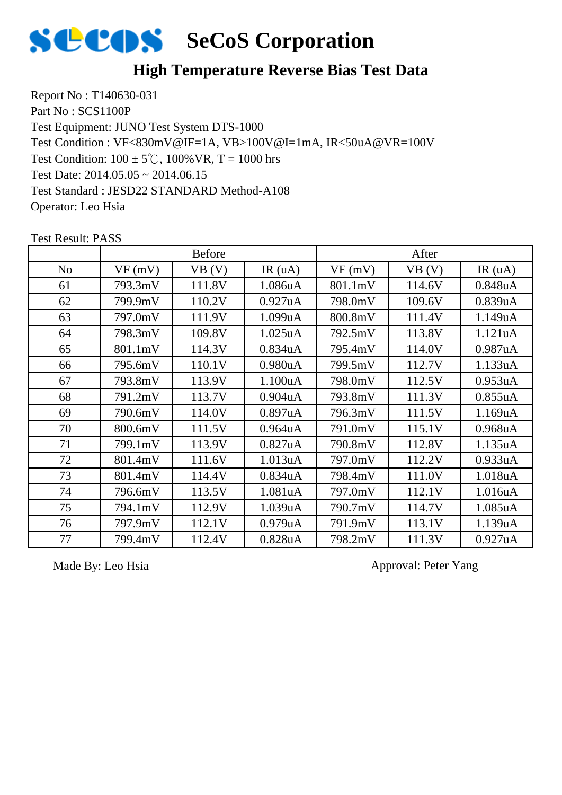

### **High Temperature Reverse Bias Test Data**

Report No : T140630-031 Part No : SCS1100P Test Equipment: JUNO Test System DTS-1000 Test Condition:  $100 \pm 5^{\circ}$ C,  $100\%$  VR, T = 1000 hrs Test Date: 2014.05.05 ~ 2014.06.15 Test Standard : JESD22 STANDARD Method-A108 Operator: Leo Hsia Test Condition : VF<830mV@IF=1A, VB>100V@I=1mA, IR<50uA@VR=100V

No |  $VF(mV)$  |  $VB(V)$  |  $IR(uA)$  |  $VF(mV)$  |  $VB(V)$  |  $IR(uA)$ Before After 61 | 793.3mV | 111.8V | 1.086uA | 801.1mV | 114.6V | 0.848uA 62 799.9mV 110.2V 0.927uA 798.0mV 109.6V 0.839uA 63 | 797.0mV | 111.9V | 1.099uA | 800.8mV | 111.4V | 1.149uA 64 798.3mV 109.8V 1.025uA 792.5mV 113.8V 1.121uA 65 801.1mV 114.3V 0.834uA 795.4mV 114.0V 0.987uA 66 795.6mV 110.1V 0.980uA 799.5mV 112.7V 1.133uA 67 793.8mV 113.9V 1.100uA 798.0mV 112.5V 0.953uA 68 791.2mV 113.7V 0.904uA 793.8mV 111.3V 0.855uA 69 790.6mV 114.0V 0.897uA 796.3mV 111.5V 1.169uA 70 | 800.6mV | 111.5V | 0.964uA | 791.0mV | 115.1V | 0.968uA 71 799.1mV 113.9V 0.827uA 790.8mV 112.8V 1.135uA 72 | 801.4mV | 111.6V | 1.013uA | 797.0mV | 112.2V | 0.933uA 73 | 801.4mV | 114.4V | 0.834uA | 798.4mV | 111.0V | 1.018uA 74 796.6mV 113.5V 1.081uA 797.0mV 112.1V 1.016uA 75 794.1mV 112.9V 1.039uA 790.7mV 114.7V 1.085uA 76 797.9mV 112.1V 0.979uA 791.9mV 113.1V 1.139uA 77 799.4mV 112.4V 0.828uA 798.2mV 111.3V 0.927uA

Test Result: PASS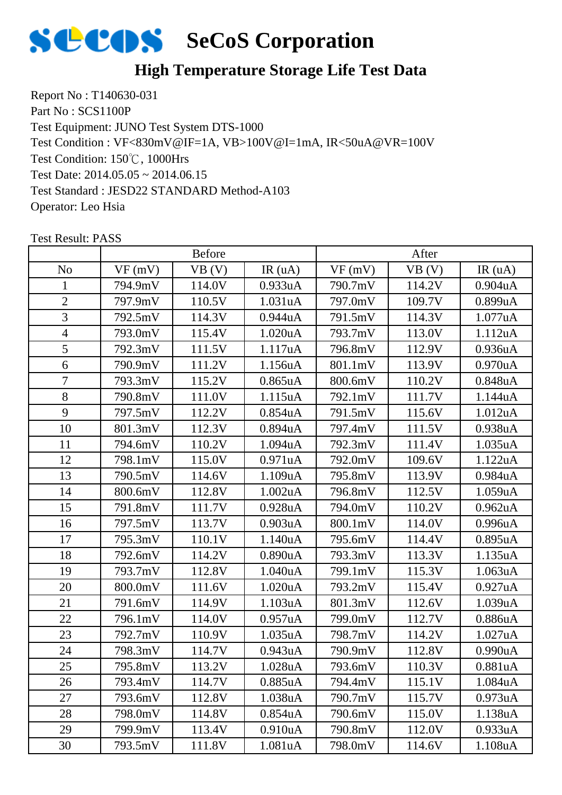

## **High Temperature Storage Life Test Data**

Report No : T140630-031 Part No : SCS1100P Test Equipment: JUNO Test System DTS-1000 Test Condition: 150℃, 1000Hrs Test Date: 2014.05.05 ~ 2014.06.15 Test Standard : JESD22 STANDARD Method-A103 Operator: Leo Hsia Test Condition : VF<830mV@IF=1A, VB>100V@I=1mA, IR<50uA@VR=100V

|                | <b>Before</b> |        |                      | After   |        |                      |
|----------------|---------------|--------|----------------------|---------|--------|----------------------|
| N <sub>o</sub> | VF(mV)        | VB (V) | IR(uA)               | VF(mV)  | VB(V)  | IR(uA)               |
| 1              | 794.9mV       | 114.0V | 0.933uA              | 790.7mV | 114.2V | $0.904$ u $A$        |
| $\overline{2}$ | 797.9mV       | 110.5V | 1.031uA              | 797.0mV | 109.7V | 0.899uA              |
| 3              | 792.5mV       | 114.3V | 0.944uA              | 791.5mV | 114.3V | 1.077uA              |
| $\overline{4}$ | 793.0mV       | 115.4V | 1.020uA              | 793.7mV | 113.0V | 1.112uA              |
| 5              | 792.3mV       | 111.5V | 1.117uA              | 796.8mV | 112.9V | 0.936 <sub>u</sub> A |
| 6              | 790.9mV       | 111.2V | 1.156uA              | 801.1mV | 113.9V | 0.970 <sub>u</sub> A |
| 7              | 793.3mV       | 115.2V | $0.865$ uA           | 800.6mV | 110.2V | 0.848uA              |
| 8              | 790.8mV       | 111.0V | 1.115uA              | 792.1mV | 111.7V | 1.144uA              |
| 9              | 797.5mV       | 112.2V | $0.854$ uA           | 791.5mV | 115.6V | 1.012uA              |
| 10             | 801.3mV       | 112.3V | 0.894 <sub>u</sub> A | 797.4mV | 111.5V | 0.938uA              |
| 11             | 794.6mV       | 110.2V | 1.094 <sub>u</sub> A | 792.3mV | 111.4V | 1.035uA              |
| 12             | 798.1mV       | 115.0V | 0.971uA              | 792.0mV | 109.6V | 1.122uA              |
| 13             | 790.5mV       | 114.6V | 1.109uA              | 795.8mV | 113.9V | 0.984uA              |
| 14             | 800.6mV       | 112.8V | 1.002uA              | 796.8mV | 112.5V | 1.059uA              |
| 15             | 791.8mV       | 111.7V | 0.928 <sub>u</sub> A | 794.0mV | 110.2V | 0.962 <sub>u</sub> A |
| 16             | 797.5mV       | 113.7V | 0.903uA              | 800.1mV | 114.0V | 0.996uA              |
| 17             | 795.3mV       | 110.1V | 1.140 <sub>u</sub> A | 795.6mV | 114.4V | $0.895$ uA           |
| 18             | 792.6mV       | 114.2V | 0.890 <sub>u</sub> A | 793.3mV | 113.3V | 1.135uA              |
| 19             | 793.7mV       | 112.8V | 1.040uA              | 799.1mV | 115.3V | 1.063 <sub>u</sub> A |
| 20             | 800.0mV       | 111.6V | 1.020uA              | 793.2mV | 115.4V | 0.927uA              |
| 21             | 791.6mV       | 114.9V | 1.103uA              | 801.3mV | 112.6V | 1.039uA              |
| 22             | 796.1mV       | 114.0V | 0.957uA              | 799.0mV | 112.7V | 0.886uA              |
| 23             | 792.7mV       | 110.9V | 1.035uA              | 798.7mV | 114.2V | 1.027uA              |
| 24             | 798.3mV       | 114.7V | 0.943uA              | 790.9mV | 112.8V | 0.990uA              |
| 25             | 795.8mV       | 113.2V | 1.028uA              | 793.6mV | 110.3V | 0.881uA              |
| 26             | 793.4mV       | 114.7V | 0.885uA              | 794.4mV | 115.1V | 1.084uA              |
| 27             | 793.6mV       | 112.8V | 1.038uA              | 790.7mV | 115.7V | 0.973 <sub>u</sub> A |
| 28             | 798.0mV       | 114.8V | 0.854uA              | 790.6mV | 115.0V | 1.138uA              |
| 29             | 799.9mV       | 113.4V | 0.910 <sub>u</sub> A | 790.8mV | 112.0V | 0.933uA              |
| 30             | 793.5mV       | 111.8V | 1.081uA              | 798.0mV | 114.6V | 1.108uA              |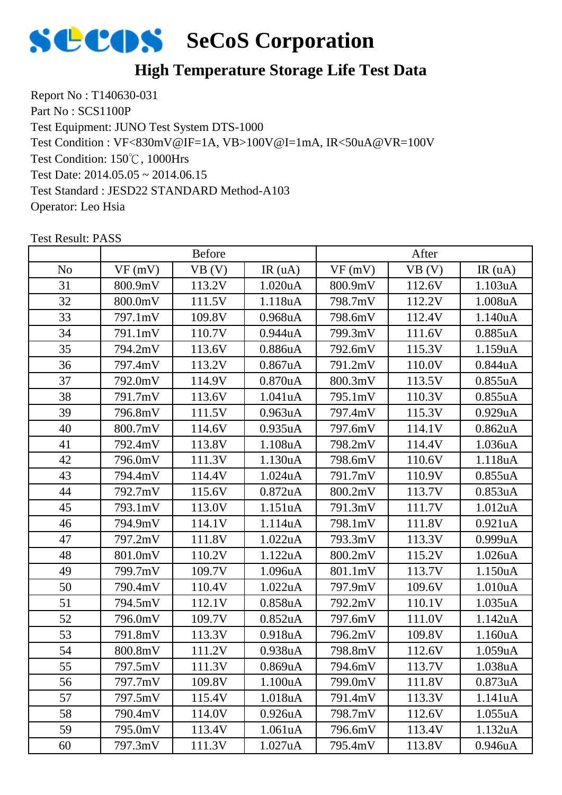

## **High Temperature Storage Life Test Data**

Report No : T140630-031 Part No : SCS1100P Test Equipment: JUNO Test System DTS-1000 Test Condition: 150℃, 1000Hrs Test Date: 2014.05.05 ~ 2014.06.15 Test Standard : JESD22 STANDARD Method-A103 Operator: Leo Hsia Test Condition : VF<830mV@IF=1A, VB>100V@I=1mA, IR<50uA@VR=100V

|                | <b>Before</b> |        |                      | After   |        |                      |
|----------------|---------------|--------|----------------------|---------|--------|----------------------|
| N <sub>o</sub> | VF(mV)        | VB (V) | IR(uA)               | VF(mV)  | VB(V)  | IR(uA)               |
| 31             | 800.9mV       | 113.2V | 1.020uA              | 800.9mV | 112.6V | 1.103uA              |
| 32             | 800.0mV       | 111.5V | 1.118uA              | 798.7mV | 112.2V | 1.008uA              |
| 33             | 797.1mV       | 109.8V | 0.968 <sub>u</sub> A | 798.6mV | 112.4V | 1.140uA              |
| 34             | 791.1mV       | 110.7V | 0.944uA              | 799.3mV | 111.6V | 0.885uA              |
| 35             | 794.2mV       | 113.6V | 0.886uA              | 792.6mV | 115.3V | 1.159uA              |
| 36             | 797.4mV       | 113.2V | $0.867$ uA           | 791.2mV | 110.0V | 0.844uA              |
| 37             | 792.0mV       | 114.9V | $0.870$ u $A$        | 800.3mV | 113.5V | 0.855uA              |
| 38             | 791.7mV       | 113.6V | 1.041uA              | 795.1mV | 110.3V | 0.855uA              |
| 39             | 796.8mV       | 111.5V | 0.963 <sub>u</sub> A | 797.4mV | 115.3V | 0.929uA              |
| 40             | 800.7mV       | 114.6V | 0.935 <sub>u</sub> A | 797.6mV | 114.1V | 0.862 <sub>u</sub> A |
| 41             | 792.4mV       | 113.8V | 1.108uA              | 798.2mV | 114.4V | 1.036uA              |
| 42             | 796.0mV       | 111.3V | 1.130uA              | 798.6mV | 110.6V | 1.118uA              |
| 43             | 794.4mV       | 114.4V | 1.024uA              | 791.7mV | 110.9V | 0.855uA              |
| 44             | 792.7mV       | 115.6V | $0.872$ uA           | 800.2mV | 113.7V | 0.853uA              |
| 45             | 793.1mV       | 113.0V | 1.151uA              | 791.3mV | 111.7V | 1.012 <sub>u</sub> A |
| 46             | 794.9mV       | 114.1V | 1.114uA              | 798.1mV | 111.8V | 0.921uA              |
| 47             | 797.2mV       | 111.8V | 1.022uA              | 793.3mV | 113.3V | 0.999uA              |
| 48             | 801.0mV       | 110.2V | 1.122uA              | 800.2mV | 115.2V | 1.026 <sub>u</sub> A |
| 49             | 799.7mV       | 109.7V | 1.096uA              | 801.1mV | 113.7V | 1.150uA              |
| 50             | 790.4mV       | 110.4V | 1.022uA              | 797.9mV | 109.6V | 1.010uA              |
| 51             | 794.5mV       | 112.1V | 0.858 <sub>u</sub> A | 792.2mV | 110.1V | 1.035uA              |
| 52             | 796.0mV       | 109.7V | 0.852 <sub>u</sub> A | 797.6mV | 111.0V | 1.142uA              |
| 53             | 791.8mV       | 113.3V | 0.918uA              | 796.2mV | 109.8V | 1.160uA              |
| 54             | 800.8mV       | 111.2V | 0.938uA              | 798.8mV | 112.6V | 1.059uA              |
| 55             | 797.5mV       | 111.3V | 0.869uA              | 794.6mV | 113.7V | 1.038uA              |
| 56             | 797.7mV       | 109.8V | 1.100uA              | 799.0mV | 111.8V | 0.873 <sub>u</sub> A |
| 57             | 797.5mV       | 115.4V | 1.018 <sub>u</sub> A | 791.4mV | 113.3V | 1.141uA              |
| 58             | 790.4mV       | 114.0V | 0.926 <sub>u</sub> A | 798.7mV | 112.6V | 1.055uA              |
| 59             | 795.0mV       | 113.4V | 1.061uA              | 796.6mV | 113.4V | 1.132uA              |
| 60             | 797.3mV       | 111.3V | 1.027uA              | 795.4mV | 113.8V | 0.946 <sub>u</sub> A |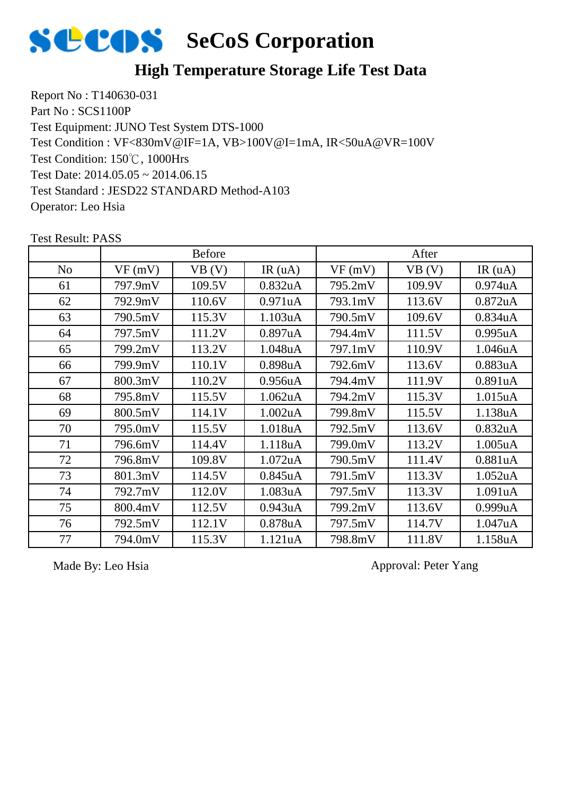

### **High Temperature Storage Life Test Data**

Report No : T140630-031 Part No : SCS1100P Test Equipment: JUNO Test System DTS-1000 Test Condition: 150℃, 1000Hrs Test Date: 2014.05.05 ~ 2014.06.15 Test Standard : JESD22 STANDARD Method-A103 Operator: Leo Hsia Test Condition : VF<830mV@IF=1A, VB>100V@I=1mA, IR<50uA@VR=100V

|                | <b>Before</b> |        |                      | After   |        |                      |
|----------------|---------------|--------|----------------------|---------|--------|----------------------|
| N <sub>0</sub> | VF(mV)        | VB(V)  | IR $(uA)$            | VF(mV)  | VB(V)  | IR(uA)               |
| 61             | 797.9mV       | 109.5V | 0.832 <sub>u</sub> A | 795.2mV | 109.9V | 0.974 <sub>u</sub> A |
| 62             | 792.9mV       | 110.6V | 0.971uA              | 793.1mV | 113.6V | $0.872$ uA           |
| 63             | 790.5mV       | 115.3V | 1.103uA              | 790.5mV | 109.6V | 0.834 <sub>u</sub> A |
| 64             | 797.5mV       | 111.2V | 0.897uA              | 794.4mV | 111.5V | 0.995uA              |
| 65             | 799.2mV       | 113.2V | 1.048uA              | 797.1mV | 110.9V | 1.046uA              |
| 66             | 799.9mV       | 110.1V | 0.898uA              | 792.6mV | 113.6V | 0.883uA              |
| 67             | 800.3mV       | 110.2V | 0.956 <sub>u</sub> A | 794.4mV | 111.9V | 0.891uA              |
| 68             | 795.8mV       | 115.5V | 1.062 <sub>u</sub> A | 794.2mV | 115.3V | 1.015uA              |
| 69             | 800.5mV       | 114.1V | 1.002 <sub>u</sub> A | 799.8mV | 115.5V | 1.138uA              |
| 70             | 795.0mV       | 115.5V | 1.018uA              | 792.5mV | 113.6V | 0.832 <sub>u</sub> A |
| 71             | 796.6mV       | 114.4V | 1.118uA              | 799.0mV | 113.2V | 1.005 <sub>u</sub> A |
| 72             | 796.8mV       | 109.8V | 1.072 <sub>u</sub> A | 790.5mV | 111.4V | 0.881uA              |
| 73             | 801.3mV       | 114.5V | 0.845uA              | 791.5mV | 113.3V | 1.052 <sub>u</sub> A |
| 74             | 792.7mV       | 112.0V | 1.083uA              | 797.5mV | 113.3V | 1.091uA              |
| 75             | 800.4mV       | 112.5V | 0.943uA              | 799.2mV | 113.6V | 0.999uA              |
| 76             | 792.5mV       | 112.1V | 0.878uA              | 797.5mV | 114.7V | 1.047uA              |
| 77             | 794.0mV       | 115.3V | 1.121uA              | 798.8mV | 111.8V | 1.158uA              |

Test Result: PASS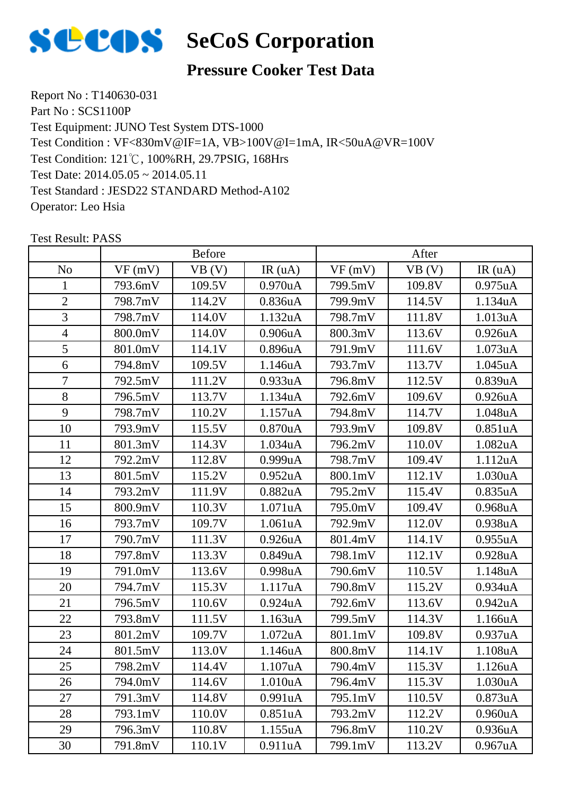

### **Pressure Cooker Test Data**

Report No : T140630-031 Part No : SCS1100P Test Equipment: JUNO Test System DTS-1000 Test Condition: 121℃, 100%RH, 29.7PSIG, 168Hrs Test Date: 2014.05.05 ~ 2014.05.11 Test Standard : JESD22 STANDARD Method-A102 Operator: Leo Hsia Test Condition : VF<830mV@IF=1A, VB>100V@I=1mA, IR<50uA@VR=100V

|                | <b>Before</b> |        |                      | After   |        |                      |
|----------------|---------------|--------|----------------------|---------|--------|----------------------|
| N <sub>o</sub> | VF(mV)        | VB (V) | IR(uA)               | VF(mV)  | VB(V)  | IR(uA)               |
| $\mathbf{1}$   | 793.6mV       | 109.5V | 0.970 <sub>u</sub> A | 799.5mV | 109.8V | 0.975 <sub>u</sub> A |
| $\overline{2}$ | 798.7mV       | 114.2V | 0.836 <sub>u</sub> A | 799.9mV | 114.5V | 1.134uA              |
| 3              | 798.7mV       | 114.0V | 1.132uA              | 798.7mV | 111.8V | 1.013uA              |
| $\overline{4}$ | 800.0mV       | 114.0V | 0.906 <sub>u</sub> A | 800.3mV | 113.6V | 0.926 <sub>u</sub> A |
| 5              | 801.0mV       | 114.1V | 0.896 <sub>u</sub> A | 791.9mV | 111.6V | 1.073uA              |
| 6              | 794.8mV       | 109.5V | 1.146 <sub>u</sub> A | 793.7mV | 113.7V | 1.045 <sub>u</sub> A |
| 7              | 792.5mV       | 111.2V | 0.933uA              | 796.8mV | 112.5V | 0.839uA              |
| 8              | 796.5mV       | 113.7V | 1.134uA              | 792.6mV | 109.6V | 0.926 <sub>u</sub> A |
| 9              | 798.7mV       | 110.2V | 1.157uA              | 794.8mV | 114.7V | 1.048uA              |
| 10             | 793.9mV       | 115.5V | 0.870 <sub>u</sub> A | 793.9mV | 109.8V | 0.851uA              |
| 11             | 801.3mV       | 114.3V | 1.034 <sub>u</sub> A | 796.2mV | 110.0V | 1.082uA              |
| 12             | 792.2mV       | 112.8V | 0.999uA              | 798.7mV | 109.4V | 1.112uA              |
| 13             | 801.5mV       | 115.2V | 0.952 <sub>u</sub> A | 800.1mV | 112.1V | 1.030 <sub>u</sub> A |
| 14             | 793.2mV       | 111.9V | 0.882 <sub>u</sub> A | 795.2mV | 115.4V | 0.835uA              |
| 15             | 800.9mV       | 110.3V | 1.071uA              | 795.0mV | 109.4V | 0.968uA              |
| 16             | 793.7mV       | 109.7V | 1.061uA              | 792.9mV | 112.0V | 0.938 <sub>u</sub> A |
| 17             | 790.7mV       | 111.3V | 0.926 <sub>u</sub> A | 801.4mV | 114.1V | 0.955uA              |
| 18             | 797.8mV       | 113.3V | 0.849uA              | 798.1mV | 112.1V | 0.928uA              |
| 19             | 791.0mV       | 113.6V | 0.998uA              | 790.6mV | 110.5V | 1.148uA              |
| 20             | 794.7mV       | 115.3V | 1.117uA              | 790.8mV | 115.2V | 0.934 <sub>u</sub> A |
| 21             | 796.5mV       | 110.6V | 0.924 <sub>u</sub> A | 792.6mV | 113.6V | 0.942 <sub>u</sub> A |
| 22             | 793.8mV       | 111.5V | 1.163uA              | 799.5mV | 114.3V | 1.166uA              |
| 23             | 801.2mV       | 109.7V | 1.072uA              | 801.1mV | 109.8V | 0.937uA              |
| 24             | 801.5mV       | 113.0V | 1.146uA              | 800.8mV | 114.1V | 1.108uA              |
| 25             | 798.2mV       | 114.4V | 1.107uA              | 790.4mV | 115.3V | 1.126uA              |
| 26             | 794.0mV       | 114.6V | 1.010 <sub>u</sub> A | 796.4mV | 115.3V | 1.030 <sub>u</sub> A |
| 27             | 791.3mV       | 114.8V | 0.991uA              | 795.1mV | 110.5V | 0.873uA              |
| 28             | 793.1mV       | 110.0V | 0.851uA              | 793.2mV | 112.2V | 0.960 <sub>u</sub> A |
| 29             | 796.3mV       | 110.8V | 1.155uA              | 796.8mV | 110.2V | 0.936 <sub>u</sub> A |
| 30             | 791.8mV       | 110.1V | 0.911uA              | 799.1mV | 113.2V | 0.967uA              |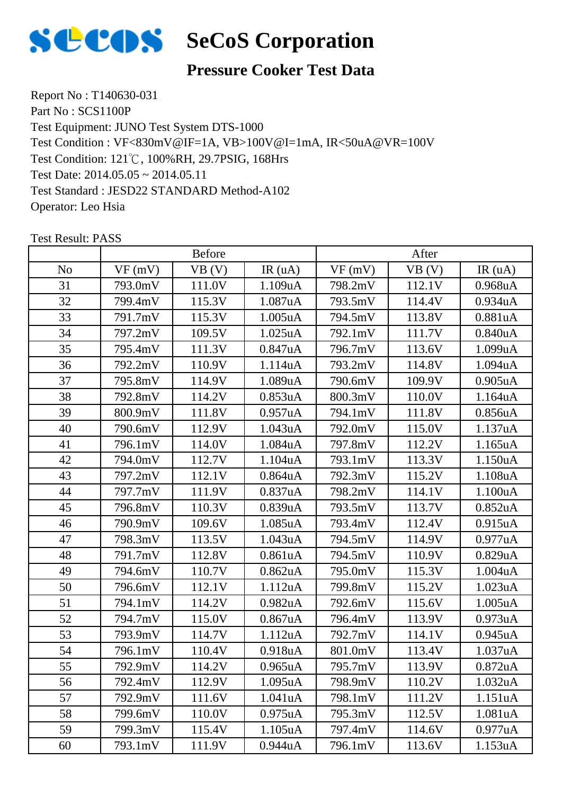

### **Pressure Cooker Test Data**

Report No : T140630-031 Part No : SCS1100P Test Equipment: JUNO Test System DTS-1000 Test Condition: 121℃, 100%RH, 29.7PSIG, 168Hrs Test Date: 2014.05.05 ~ 2014.05.11 Test Standard : JESD22 STANDARD Method-A102 Operator: Leo Hsia Test Condition : VF<830mV@IF=1A, VB>100V@I=1mA, IR<50uA@VR=100V

|                | <b>Before</b> |        |                      | After   |        |                      |
|----------------|---------------|--------|----------------------|---------|--------|----------------------|
| N <sub>o</sub> | VF(mV)        | VB(V)  | IR(uA)               | VF(mV)  | VB (V) | IR(uA)               |
| 31             | 793.0mV       | 111.0V | 1.109uA              | 798.2mV | 112.1V | 0.968 <sub>u</sub> A |
| 32             | 799.4mV       | 115.3V | 1.087uA              | 793.5mV | 114.4V | 0.934uA              |
| 33             | 791.7mV       | 115.3V | $1.005$ uA           | 794.5mV | 113.8V | 0.881uA              |
| 34             | 797.2mV       | 109.5V | 1.025 <sub>u</sub> A | 792.1mV | 111.7V | 0.840 <sub>u</sub> A |
| 35             | 795.4mV       | 111.3V | 0.847uA              | 796.7mV | 113.6V | 1.099uA              |
| 36             | 792.2mV       | 110.9V | 1.114uA              | 793.2mV | 114.8V | 1.094uA              |
| 37             | 795.8mV       | 114.9V | 1.089uA              | 790.6mV | 109.9V | $0.905$ uA           |
| 38             | 792.8mV       | 114.2V | 0.853uA              | 800.3mV | 110.0V | 1.164uA              |
| 39             | 800.9mV       | 111.8V | 0.957uA              | 794.1mV | 111.8V | 0.856 <sub>u</sub> A |
| 40             | 790.6mV       | 112.9V | 1.043uA              | 792.0mV | 115.0V | 1.137uA              |
| 41             | 796.1mV       | 114.0V | 1.084uA              | 797.8mV | 112.2V | 1.165uA              |
| 42             | 794.0mV       | 112.7V | 1.104uA              | 793.1mV | 113.3V | 1.150uA              |
| 43             | 797.2mV       | 112.1V | 0.864 <sub>u</sub> A | 792.3mV | 115.2V | 1.108uA              |
| 44             | 797.7mV       | 111.9V | 0.837uA              | 798.2mV | 114.1V | 1.100uA              |
| 45             | 796.8mV       | 110.3V | 0.839uA              | 793.5mV | 113.7V | 0.852 <sub>u</sub> A |
| 46             | 790.9mV       | 109.6V | 1.085uA              | 793.4mV | 112.4V | 0.915 <sub>u</sub> A |
| 47             | 798.3mV       | 113.5V | 1.043uA              | 794.5mV | 114.9V | 0.977uA              |
| 48             | 791.7mV       | 112.8V | 0.861uA              | 794.5mV | 110.9V | 0.829uA              |
| 49             | 794.6mV       | 110.7V | 0.862 <sub>u</sub> A | 795.0mV | 115.3V | 1.004uA              |
| 50             | 796.6mV       | 112.1V | 1.112uA              | 799.8mV | 115.2V | 1.023uA              |
| 51             | 794.1mV       | 114.2V | 0.982 <sub>u</sub> A | 792.6mV | 115.6V | 1.005uA              |
| 52             | 794.7mV       | 115.0V | 0.867uA              | 796.4mV | 113.9V | 0.973uA              |
| 53             | 793.9mV       | 114.7V | 1.112uA              | 792.7mV | 114.1V | 0.945 <sub>u</sub> A |
| 54             | 796.1mV       | 110.4V | 0.918uA              | 801.0mV | 113.4V | 1.037uA              |
| 55             | 792.9mV       | 114.2V | $0.965$ uA           | 795.7mV | 113.9V | 0.872 <sub>u</sub> A |
| 56             | 792.4mV       | 112.9V | 1.095 <sub>u</sub> A | 798.9mV | 110.2V | 1.032 <sub>u</sub> A |
| 57             | 792.9mV       | 111.6V | 1.041uA              | 798.1mV | 111.2V | 1.151uA              |
| 58             | 799.6mV       | 110.0V | 0.975 <sub>u</sub> A | 795.3mV | 112.5V | 1.081uA              |
| 59             | 799.3mV       | 115.4V | 1.105uA              | 797.4mV | 114.6V | 0.977 <sub>u</sub> A |
| 60             | 793.1mV       | 111.9V | 0.944uA              | 796.1mV | 113.6V | 1.153uA              |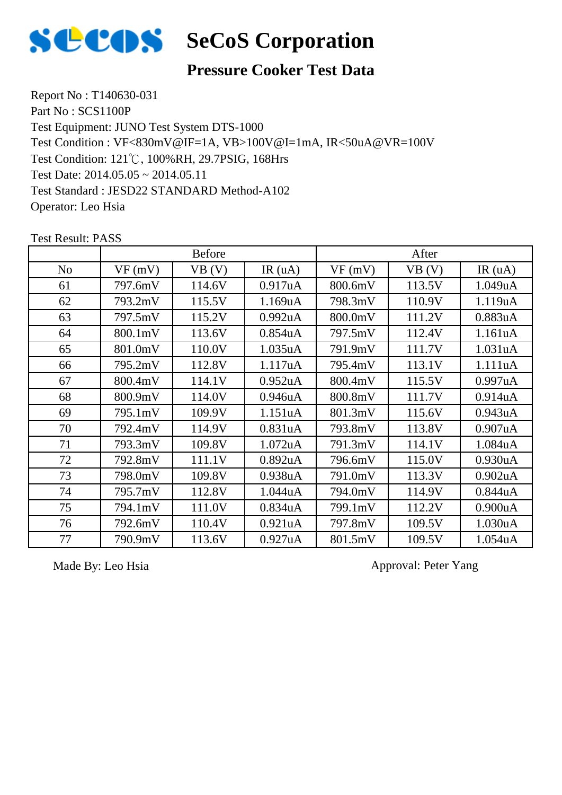

### **Pressure Cooker Test Data**

Report No : T140630-031 Part No : SCS1100P Test Equipment: JUNO Test System DTS-1000 Test Condition: 121℃, 100%RH, 29.7PSIG, 168Hrs Test Date: 2014.05.05 ~ 2014.05.11 Test Standard : JESD22 STANDARD Method-A102 Operator: Leo Hsia Test Condition : VF<830mV@IF=1A, VB>100V@I=1mA, IR<50uA@VR=100V

|                | <b>Before</b> |        |                      | After   |        |                      |
|----------------|---------------|--------|----------------------|---------|--------|----------------------|
| N <sub>o</sub> | VF(mV)        | VB (V) | IR(uA)               | VF(mV)  | VB (V) | IR(uA)               |
| 61             | 797.6mV       | 114.6V | 0.917uA              | 800.6mV | 113.5V | 1.049uA              |
| 62             | 793.2mV       | 115.5V | 1.169uA              | 798.3mV | 110.9V | 1.119uA              |
| 63             | 797.5mV       | 115.2V | 0.992 <sub>u</sub> A | 800.0mV | 111.2V | 0.883uA              |
| 64             | 800.1mV       | 113.6V | 0.854 <sub>u</sub> A | 797.5mV | 112.4V | 1.161uA              |
| 65             | 801.0mV       | 110.0V | 1.035 <sub>u</sub> A | 791.9mV | 111.7V | 1.031uA              |
| 66             | 795.2mV       | 112.8V | 1.117uA              | 795.4mV | 113.1V | 1.111uA              |
| 67             | 800.4mV       | 114.1V | 0.952 <sub>u</sub> A | 800.4mV | 115.5V | 0.997uA              |
| 68             | 800.9mV       | 114.0V | 0.946 <sub>u</sub> A | 800.8mV | 111.7V | 0.914 <sub>u</sub> A |
| 69             | 795.1mV       | 109.9V | 1.151uA              | 801.3mV | 115.6V | 0.943uA              |
| 70             | 792.4mV       | 114.9V | 0.831uA              | 793.8mV | 113.8V | 0.907uA              |
| 71             | 793.3mV       | 109.8V | 1.072 <sub>u</sub> A | 791.3mV | 114.1V | 1.084uA              |
| 72             | 792.8mV       | 111.1V | 0.892 <sub>u</sub> A | 796.6mV | 115.0V | 0.930uA              |
| 73             | 798.0mV       | 109.8V | 0.938uA              | 791.0mV | 113.3V | 0.902 <sub>u</sub> A |
| 74             | 795.7mV       | 112.8V | 1.044uA              | 794.0mV | 114.9V | 0.844uA              |
| 75             | 794.1mV       | 111.0V | 0.834 <sub>u</sub> A | 799.1mV | 112.2V | 0.900uA              |
| 76             | 792.6mV       | 110.4V | 0.921uA              | 797.8mV | 109.5V | 1.030uA              |
| 77             | 790.9mV       | 113.6V | 0.927uA              | 801.5mV | 109.5V | 1.054uA              |

Test Result: PASS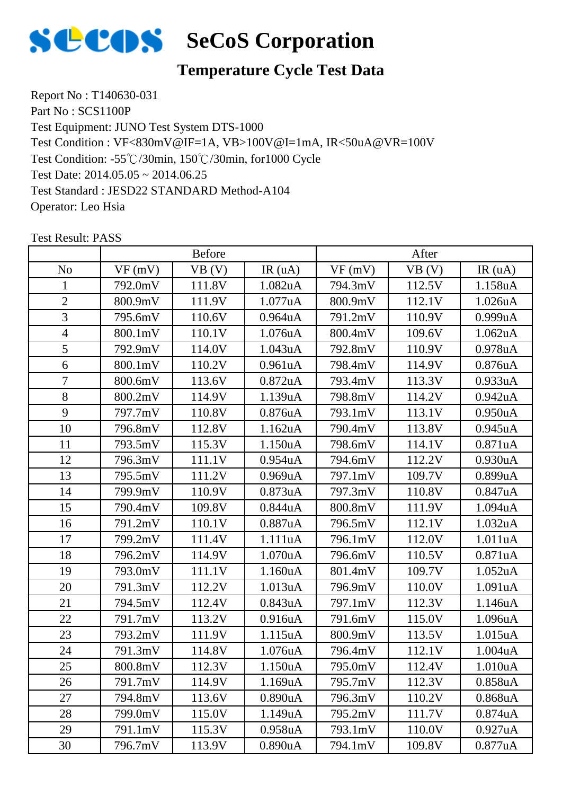

# **Temperature Cycle Test Data**

Report No : T140630-031 Part No : SCS1100P Test Equipment: JUNO Test System DTS-1000 Test Condition: -55℃/30min, 150℃/30min, for1000 Cycle Test Date: 2014.05.05 ~ 2014.06.25 Test Standard : JESD22 STANDARD Method-A104 Operator: Leo Hsia Test Condition : VF<830mV@IF=1A, VB>100V@I=1mA, IR<50uA@VR=100V

|                | <b>Before</b> |        |                      | After   |        |                      |
|----------------|---------------|--------|----------------------|---------|--------|----------------------|
| N <sub>o</sub> | VF(mV)        | VB (V) | IR(uA)               | VF(mV)  | VB (V) | IR(uA)               |
| 1              | 792.0mV       | 111.8V | 1.082uA              | 794.3mV | 112.5V | 1.158uA              |
| $\overline{2}$ | 800.9mV       | 111.9V | 1.077uA              | 800.9mV | 112.1V | 1.026uA              |
| 3              | 795.6mV       | 110.6V | $0.964$ u $A$        | 791.2mV | 110.9V | 0.999uA              |
| $\overline{4}$ | 800.1mV       | 110.1V | 1.076uA              | 800.4mV | 109.6V | 1.062 <sub>u</sub> A |
| 5              | 792.9mV       | 114.0V | 1.043uA              | 792.8mV | 110.9V | 0.978uA              |
| 6              | 800.1mV       | 110.2V | 0.961uA              | 798.4mV | 114.9V | 0.876uA              |
| 7              | 800.6mV       | 113.6V | $0.872$ uA           | 793.4mV | 113.3V | 0.933uA              |
| 8              | 800.2mV       | 114.9V | 1.139uA              | 798.8mV | 114.2V | 0.942uA              |
| 9              | 797.7mV       | 110.8V | 0.876 <sub>u</sub> A | 793.1mV | 113.1V | 0.950uA              |
| 10             | 796.8mV       | 112.8V | 1.162 <sub>u</sub> A | 790.4mV | 113.8V | 0.945 <sub>u</sub> A |
| 11             | 793.5mV       | 115.3V | 1.150uA              | 798.6mV | 114.1V | 0.871uA              |
| 12             | 796.3mV       | 111.1V | 0.954 <sub>u</sub> A | 794.6mV | 112.2V | 0.930 <sub>u</sub> A |
| 13             | 795.5mV       | 111.2V | 0.969uA              | 797.1mV | 109.7V | 0.899uA              |
| 14             | 799.9mV       | 110.9V | 0.873uA              | 797.3mV | 110.8V | 0.847uA              |
| 15             | 790.4mV       | 109.8V | 0.844uA              | 800.8mV | 111.9V | 1.094uA              |
| 16             | 791.2mV       | 110.1V | 0.887uA              | 796.5mV | 112.1V | 1.032 <sub>u</sub> A |
| 17             | 799.2mV       | 111.4V | 1.111uA              | 796.1mV | 112.0V | 1.011uA              |
| 18             | 796.2mV       | 114.9V | 1.070 <sub>u</sub> A | 796.6mV | 110.5V | 0.871uA              |
| 19             | 793.0mV       | 111.1V | 1.160uA              | 801.4mV | 109.7V | 1.052uA              |
| 20             | 791.3mV       | 112.2V | 1.013uA              | 796.9mV | 110.0V | 1.091uA              |
| 21             | 794.5mV       | 112.4V | 0.843uA              | 797.1mV | 112.3V | 1.146uA              |
| 22             | 791.7mV       | 113.2V | 0.916 <sub>u</sub> A | 791.6mV | 115.0V | 1.096 <sub>u</sub> A |
| 23             | 793.2mV       | 111.9V | 1.115uA              | 800.9mV | 113.5V | 1.015uA              |
| 24             | 791.3mV       | 114.8V | 1.076uA              | 796.4mV | 112.1V | 1.004uA              |
| 25             | 800.8mV       | 112.3V | 1.150uA              | 795.0mV | 112.4V | 1.010uA              |
| 26             | 791.7mV       | 114.9V | 1.169 <sub>u</sub> A | 795.7mV | 112.3V | 0.858 <sub>u</sub> A |
| 27             | 794.8mV       | 113.6V | 0.890 <sub>u</sub> A | 796.3mV | 110.2V | 0.868uA              |
| 28             | 799.0mV       | 115.0V | 1.149uA              | 795.2mV | 111.7V | 0.874uA              |
| 29             | 791.1mV       | 115.3V | 0.958uA              | 793.1mV | 110.0V | 0.927uA              |
| 30             | 796.7mV       | 113.9V | 0.890uA              | 794.1mV | 109.8V | 0.877uA              |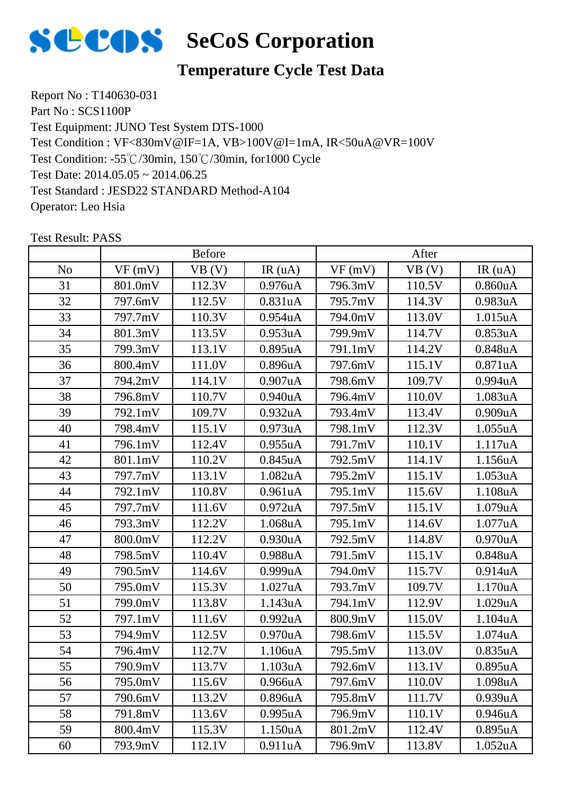

# **Temperature Cycle Test Data**

Report No : T140630-031 Part No : SCS1100P Test Equipment: JUNO Test System DTS-1000 Test Condition: -55℃/30min, 150℃/30min, for1000 Cycle Test Date: 2014.05.05 ~ 2014.06.25 Test Standard : JESD22 STANDARD Method-A104 Operator: Leo Hsia Test Condition : VF<830mV@IF=1A, VB>100V@I=1mA, IR<50uA@VR=100V

|                | <b>Before</b> |        |                      | After   |        |                      |
|----------------|---------------|--------|----------------------|---------|--------|----------------------|
| N <sub>o</sub> | VF(mV)        | VB (V) | IR(uA)               | VF(mV)  | VB (V) | IR(uA)               |
| 31             | 801.0mV       | 112.3V | 0.976 <sub>u</sub> A | 796.3mV | 110.5V | 0.860 <sub>u</sub> A |
| 32             | 797.6mV       | 112.5V | 0.831uA              | 795.7mV | 114.3V | 0.983uA              |
| 33             | 797.7mV       | 110.3V | 0.954 <sub>u</sub> A | 794.0mV | 113.0V | 1.015uA              |
| 34             | 801.3mV       | 113.5V | 0.953 <sub>u</sub> A | 799.9mV | 114.7V | 0.853uA              |
| 35             | 799.3mV       | 113.1V | 0.895uA              | 791.1mV | 114.2V | 0.848uA              |
| 36             | 800.4mV       | 111.0V | 0.896 <sub>u</sub> A | 797.6mV | 115.1V | 0.871uA              |
| 37             | 794.2mV       | 114.1V | 0.907uA              | 798.6mV | 109.7V | 0.994uA              |
| 38             | 796.8mV       | 110.7V | 0.940 <sub>u</sub> A | 796.4mV | 110.0V | 1.083uA              |
| 39             | 792.1mV       | 109.7V | 0.932uA              | 793.4mV | 113.4V | 0.909uA              |
| 40             | 798.4mV       | 115.1V | 0.973 <sub>u</sub> A | 798.1mV | 112.3V | 1.055uA              |
| 41             | 796.1mV       | 112.4V | 0.955uA              | 791.7mV | 110.1V | 1.117uA              |
| 42             | 801.1mV       | 110.2V | $0.845$ uA           | 792.5mV | 114.1V | 1.156uA              |
| 43             | 797.7mV       | 113.1V | 1.082uA              | 795.2mV | 115.1V | 1.053uA              |
| 44             | 792.1mV       | 110.8V | 0.961uA              | 795.1mV | 115.6V | 1.108uA              |
| 45             | 797.7mV       | 111.6V | 0.972 <sub>u</sub> A | 797.5mV | 115.1V | 1.079uA              |
| 46             | 793.3mV       | 112.2V | 1.068uA              | 795.1mV | 114.6V | 1.077uA              |
| 47             | 800.0mV       | 112.2V | 0.930 <sub>u</sub> A | 792.5mV | 114.8V | 0.970 <sub>u</sub> A |
| 48             | 798.5mV       | 110.4V | 0.988uA              | 791.5mV | 115.1V | 0.848uA              |
| 49             | 790.5mV       | 114.6V | 0.999uA              | 794.0mV | 115.7V | 0.914uA              |
| 50             | 795.0mV       | 115.3V | 1.027uA              | 793.7mV | 109.7V | 1.170uA              |
| 51             | 799.0mV       | 113.8V | 1.143uA              | 794.1mV | 112.9V | 1.029uA              |
| 52             | 797.1mV       | 111.6V | 0.992 <sub>u</sub> A | 800.9mV | 115.0V | 1.104uA              |
| 53             | 794.9mV       | 112.5V | 0.970uA              | 798.6mV | 115.5V | 1.074uA              |
| 54             | 796.4mV       | 112.7V | 1.106uA              | 795.5mV | 113.0V | 0.835uA              |
| 55             | 790.9mV       | 113.7V | 1.103uA              | 792.6mV | 113.1V | 0.895uA              |
| 56             | 795.0mV       | 115.6V | 0.966 <sub>u</sub> A | 797.6mV | 110.0V | 1.098uA              |
| 57             | 790.6mV       | 113.2V | 0.896 <sub>u</sub> A | 795.8mV | 111.7V | 0.939uA              |
| 58             | 791.8mV       | 113.6V | 0.995uA              | 796.9mV | 110.1V | 0.946 <sub>u</sub> A |
| 59             | 800.4mV       | 115.3V | 1.150uA              | 801.2mV | 112.4V | 0.895uA              |
| 60             | 793.9mV       | 112.1V | 0.911uA              | 796.9mV | 113.8V | 1.052 <sub>u</sub> A |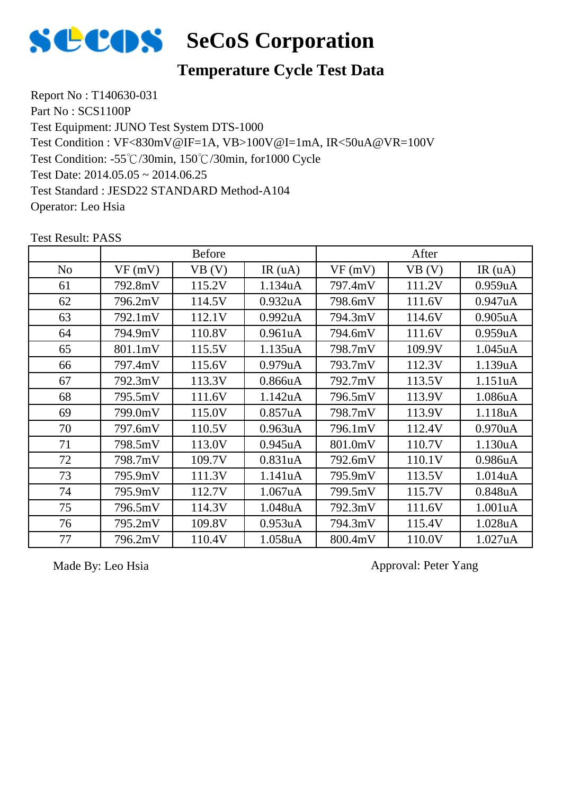

### **Temperature Cycle Test Data**

Report No : T140630-031 Part No : SCS1100P Test Equipment: JUNO Test System DTS-1000 Test Condition: -55℃/30min, 150℃/30min, for1000 Cycle Test Date: 2014.05.05 ~ 2014.06.25 Test Standard : JESD22 STANDARD Method-A104 Operator: Leo Hsia Test Condition : VF<830mV@IF=1A, VB>100V@I=1mA, IR<50uA@VR=100V

No |  $VF(mV)$  |  $VB(V)$  |  $IR(uA)$  |  $VF(mV)$  |  $VB(V)$  |  $IR(uA)$ Before After 61 792.8mV 115.2V 1.134uA 797.4mV 111.2V 0.959uA 62 796.2mV 114.5V 0.932uA 798.6mV 111.6V 0.947uA 63 792.1mV 112.1V 0.992uA 794.3mV 114.6V 0.905uA 64 794.9mV 110.8V 0.961uA 794.6mV 111.6V 0.959uA 65 801.1mV 115.5V 1.135uA 798.7mV 109.9V 1.045uA 66 797.4mV 115.6V 0.979uA 793.7mV 112.3V 1.139uA 67 | 792.3mV | 113.3V | 0.866uA | 792.7mV | 113.5V | 1.151uA 68 795.5mV 111.6V 1.142uA 796.5mV 113.9V 1.086uA 69 799.0mV 115.0V 0.857uA 798.7mV 113.9V 1.118uA 70 797.6mV 110.5V 0.963uA 796.1mV 112.4V 0.970uA 71 | 798.5mV | 113.0V | 0.945uA | 801.0mV | 110.7V | 1.130uA 72 798.7mV 109.7V 0.831uA 792.6mV 110.1V 0.986uA 73 795.9mV 111.3V 1.141uA 795.9mV 113.5V 1.014uA 74 795.9mV 112.7V 1.067uA 799.5mV 115.7V 0.848uA 75 796.5mV 114.3V 1.048uA 792.3mV 111.6V 1.001uA 76 795.2mV 109.8V 0.953uA 794.3mV 115.4V 1.028uA 77 | 796.2mV | 110.4V | 1.058uA | 800.4mV | 110.0V | 1.027uA

Test Result: PASS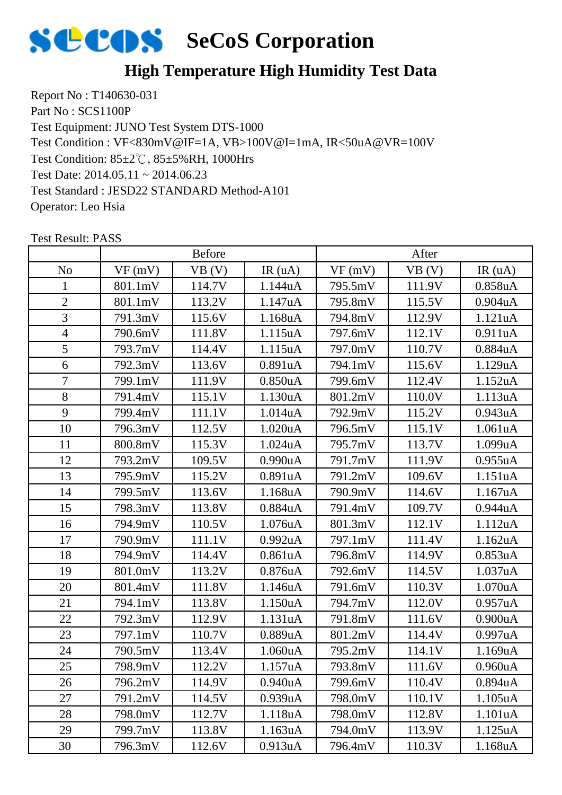

### **High Temperature High Humidity Test Data**

Report No : T140630-031 Part No : SCS1100P Test Equipment: JUNO Test System DTS-1000 Test Condition: 85±2℃, 85±5%RH, 1000Hrs Test Date: 2014.05.11 ~ 2014.06.23 Test Standard : JESD22 STANDARD Method-A101 Operator: Leo Hsia Test Condition : VF<830mV@IF=1A, VB>100V@I=1mA, IR<50uA@VR=100V

|                | <b>Before</b> |        |                      | After   |        |                      |
|----------------|---------------|--------|----------------------|---------|--------|----------------------|
| N <sub>o</sub> | VF(mV)        | VB (V) | IR(uA)               | VF(mV)  | VB (V) | IR(uA)               |
| 1              | 801.1mV       | 114.7V | 1.144uA              | 795.5mV | 111.9V | 0.858uA              |
| $\overline{2}$ | 801.1mV       | 113.2V | 1.147uA              | 795.8mV | 115.5V | $0.904$ u $A$        |
| 3              | 791.3mV       | 115.6V | 1.168uA              | 794.8mV | 112.9V | 1.121uA              |
| $\overline{4}$ | 790.6mV       | 111.8V | 1.115uA              | 797.6mV | 112.1V | 0.911uA              |
| 5              | 793.7mV       | 114.4V | 1.115uA              | 797.0mV | 110.7V | 0.884uA              |
| 6              | 792.3mV       | 113.6V | 0.891uA              | 794.1mV | 115.6V | 1.129uA              |
| $\overline{7}$ | 799.1mV       | 111.9V | 0.850 <sub>u</sub> A | 799.6mV | 112.4V | 1.152uA              |
| 8              | 791.4mV       | 115.1V | 1.130uA              | 801.2mV | 110.0V | 1.113uA              |
| 9              | 799.4mV       | 111.1V | 1.014 <sub>u</sub> A | 792.9mV | 115.2V | 0.943uA              |
| 10             | 796.3mV       | 112.5V | 1.020 <sub>u</sub> A | 796.5mV | 115.1V | 1.061uA              |
| 11             | 800.8mV       | 115.3V | 1.024uA              | 795.7mV | 113.7V | 1.099uA              |
| 12             | 793.2mV       | 109.5V | 0.990uA              | 791.7mV | 111.9V | 0.955uA              |
| 13             | 795.9mV       | 115.2V | 0.891uA              | 791.2mV | 109.6V | 1.151uA              |
| 14             | 799.5mV       | 113.6V | 1.168uA              | 790.9mV | 114.6V | 1.167uA              |
| 15             | 798.3mV       | 113.8V | 0.884uA              | 791.4mV | 109.7V | 0.944uA              |
| 16             | 794.9mV       | 110.5V | 1.076uA              | 801.3mV | 112.1V | 1.112uA              |
| 17             | 790.9mV       | 111.1V | 0.992uA              | 797.1mV | 111.4V | 1.162uA              |
| 18             | 794.9mV       | 114.4V | 0.861uA              | 796.8mV | 114.9V | 0.853uA              |
| 19             | 801.0mV       | 113.2V | 0.876uA              | 792.6mV | 114.5V | 1.037uA              |
| 20             | 801.4mV       | 111.8V | 1.146 <sub>u</sub> A | 791.6mV | 110.3V | 1.070uA              |
| 21             | 794.1mV       | 113.8V | 1.150uA              | 794.7mV | 112.0V | 0.957uA              |
| 22             | 792.3mV       | 112.9V | 1.131uA              | 791.8mV | 111.6V | 0.900uA              |
| 23             | 797.1mV       | 110.7V | 0.889uA              | 801.2mV | 114.4V | 0.997uA              |
| 24             | 790.5mV       | 113.4V | 1.060uA              | 795.2mV | 114.1V | 1.169uA              |
| 25             | 798.9mV       | 112.2V | 1.157uA              | 793.8mV | 111.6V | 0.960uA              |
| 26             | 796.2mV       | 114.9V | 0.940 <sub>u</sub> A | 799.6mV | 110.4V | 0.894 <sub>u</sub> A |
| 27             | 791.2mV       | 114.5V | 0.939uA              | 798.0mV | 110.1V | 1.105uA              |
| 28             | 798.0mV       | 112.7V | 1.118uA              | 798.0mV | 112.8V | 1.101uA              |
| 29             | 799.7mV       | 113.8V | 1.163uA              | 794.0mV | 113.9V | 1.125uA              |
| 30             | 796.3mV       | 112.6V | 0.913uA              | 796.4mV | 110.3V | 1.168uA              |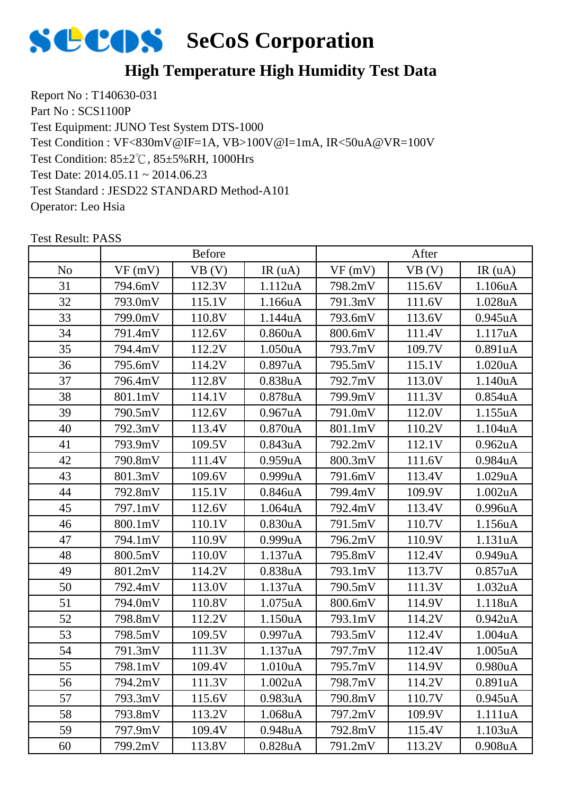

### **High Temperature High Humidity Test Data**

Report No : T140630-031 Part No : SCS1100P Test Equipment: JUNO Test System DTS-1000 Test Condition: 85±2℃, 85±5%RH, 1000Hrs Test Date: 2014.05.11 ~ 2014.06.23 Test Standard : JESD22 STANDARD Method-A101 Operator: Leo Hsia Test Condition : VF<830mV@IF=1A, VB>100V@I=1mA, IR<50uA@VR=100V

|                | <b>Before</b> |        |                      | After   |        |                      |
|----------------|---------------|--------|----------------------|---------|--------|----------------------|
| N <sub>o</sub> | VF(mV)        | VB(V)  | IR(uA)               | VF(mV)  | VB (V) | IR(uA)               |
| 31             | 794.6mV       | 112.3V | 1.112uA              | 798.2mV | 115.6V | 1.106uA              |
| 32             | 793.0mV       | 115.1V | 1.166uA              | 791.3mV | 111.6V | 1.028uA              |
| 33             | 799.0mV       | 110.8V | 1.144uA              | 793.6mV | 113.6V | 0.945 <sub>u</sub> A |
| 34             | 791.4mV       | 112.6V | 0.860 <sub>u</sub> A | 800.6mV | 111.4V | 1.117uA              |
| 35             | 794.4mV       | 112.2V | 1.050uA              | 793.7mV | 109.7V | 0.891uA              |
| 36             | 795.6mV       | 114.2V | 0.897uA              | 795.5mV | 115.1V | 1.020uA              |
| 37             | 796.4mV       | 112.8V | 0.838uA              | 792.7mV | 113.0V | 1.140uA              |
| 38             | 801.1mV       | 114.1V | 0.878uA              | 799.9mV | 111.3V | 0.854 <sub>u</sub> A |
| 39             | 790.5mV       | 112.6V | 0.967uA              | 791.0mV | 112.0V | 1.155uA              |
| 40             | 792.3mV       | 113.4V | $0.870$ u $A$        | 801.1mV | 110.2V | 1.104uA              |
| 41             | 793.9mV       | 109.5V | 0.843uA              | 792.2mV | 112.1V | 0.962 <sub>u</sub> A |
| 42             | 790.8mV       | 111.4V | 0.959uA              | 800.3mV | 111.6V | 0.984uA              |
| 43             | 801.3mV       | 109.6V | 0.999uA              | 791.6mV | 113.4V | 1.029uA              |
| 44             | 792.8mV       | 115.1V | 0.846 <sub>u</sub> A | 799.4mV | 109.9V | 1.002uA              |
| 45             | 797.1mV       | 112.6V | 1.064 <sub>u</sub> A | 792.4mV | 113.4V | 0.996uA              |
| 46             | 800.1mV       | 110.1V | 0.830uA              | 791.5mV | 110.7V | 1.156uA              |
| 47             | 794.1mV       | 110.9V | 0.999uA              | 796.2mV | 110.9V | 1.131uA              |
| 48             | 800.5mV       | 110.0V | 1.137uA              | 795.8mV | 112.4V | 0.949uA              |
| 49             | 801.2mV       | 114.2V | 0.838uA              | 793.1mV | 113.7V | 0.857uA              |
| 50             | 792.4mV       | 113.0V | 1.137uA              | 790.5mV | 111.3V | 1.032 <sub>u</sub> A |
| 51             | 794.0mV       | 110.8V | 1.075uA              | 800.6mV | 114.9V | 1.118uA              |
| 52             | 798.8mV       | 112.2V | 1.150uA              | 793.1mV | 114.2V | 0.942 <sub>u</sub> A |
| 53             | 798.5mV       | 109.5V | 0.997uA              | 793.5mV | 112.4V | 1.004uA              |
| 54             | 791.3mV       | 111.3V | 1.137uA              | 797.7mV | 112.4V | 1.005uA              |
| 55             | 798.1mV       | 109.4V | 1.010uA              | 795.7mV | 114.9V | 0.980uA              |
| 56             | 794.2mV       | 111.3V | 1.002 <sub>u</sub> A | 798.7mV | 114.2V | 0.891uA              |
| 57             | 793.3mV       | 115.6V | 0.983 <sub>u</sub> A | 790.8mV | 110.7V | 0.945 <sub>u</sub> A |
| 58             | 793.8mV       | 113.2V | 1.068uA              | 797.2mV | 109.9V | 1.111uA              |
| 59             | 797.9mV       | 109.4V | 0.948uA              | 792.8mV | 115.4V | 1.103uA              |
| 60             | 799.2mV       | 113.8V | 0.828uA              | 791.2mV | 113.2V | 0.908 <sub>u</sub> A |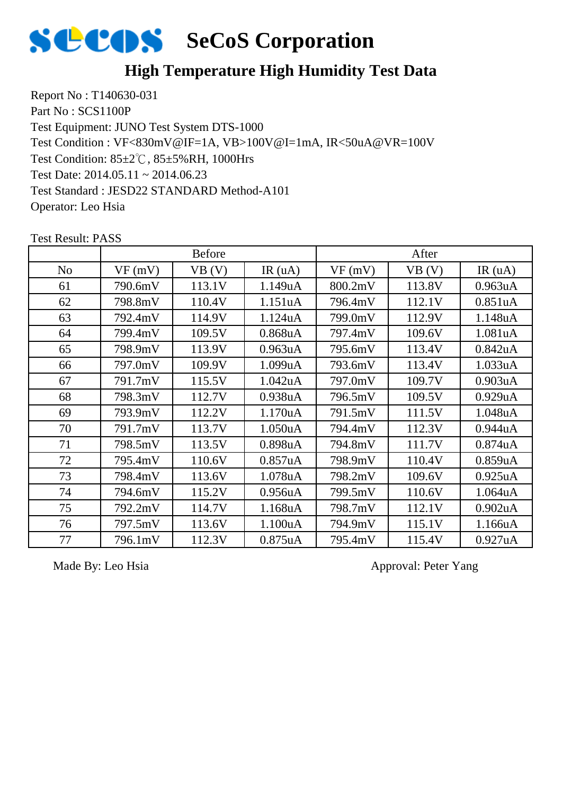

### **High Temperature High Humidity Test Data**

Report No : T140630-031 Part No : SCS1100P Test Equipment: JUNO Test System DTS-1000 Test Condition: 85±2℃, 85±5%RH, 1000Hrs Test Date: 2014.05.11 ~ 2014.06.23 Test Standard : JESD22 STANDARD Method-A101 Operator: Leo Hsia Test Condition : VF<830mV@IF=1A, VB>100V@I=1mA, IR<50uA@VR=100V

|                | <b>Before</b> |        |                      | After   |        |                      |
|----------------|---------------|--------|----------------------|---------|--------|----------------------|
| N <sub>0</sub> | VF(mV)        | VB (V) | IR(uA)               | VF(mV)  | VB (V) | IR(uA)               |
| 61             | 790.6mV       | 113.1V | 1.149uA              | 800.2mV | 113.8V | 0.963 <sub>u</sub> A |
| 62             | 798.8mV       | 110.4V | 1.151uA              | 796.4mV | 112.1V | 0.851uA              |
| 63             | 792.4mV       | 114.9V | 1.124uA              | 799.0mV | 112.9V | 1.148uA              |
| 64             | 799.4mV       | 109.5V | 0.868uA              | 797.4mV | 109.6V | 1.081uA              |
| 65             | 798.9mV       | 113.9V | 0.963 <sub>u</sub> A | 795.6mV | 113.4V | 0.842uA              |
| 66             | 797.0mV       | 109.9V | 1.099uA              | 793.6mV | 113.4V | 1.033uA              |
| 67             | 791.7mV       | 115.5V | 1.042uA              | 797.0mV | 109.7V | 0.903uA              |
| 68             | 798.3mV       | 112.7V | 0.938 <sub>u</sub> A | 796.5mV | 109.5V | 0.929uA              |
| 69             | 793.9mV       | 112.2V | 1.170uA              | 791.5mV | 111.5V | 1.048uA              |
| 70             | 791.7mV       | 113.7V | 1.050 <sub>u</sub> A | 794.4mV | 112.3V | 0.944uA              |
| 71             | 798.5mV       | 113.5V | 0.898 <sub>u</sub> A | 794.8mV | 111.7V | 0.874 <sub>u</sub> A |
| 72             | 795.4mV       | 110.6V | 0.857uA              | 798.9mV | 110.4V | 0.859uA              |
| 73             | 798.4mV       | 113.6V | 1.078uA              | 798.2mV | 109.6V | 0.925uA              |
| 74             | 794.6mV       | 115.2V | 0.956 <sub>u</sub> A | 799.5mV | 110.6V | 1.064uA              |
| 75             | 792.2mV       | 114.7V | 1.168uA              | 798.7mV | 112.1V | 0.902 <sub>u</sub> A |
| 76             | 797.5mV       | 113.6V | 1.100uA              | 794.9mV | 115.1V | 1.166uA              |
| 77             | 796.1mV       | 112.3V | $0.875$ uA           | 795.4mV | 115.4V | 0.927uA              |

Test Result: PASS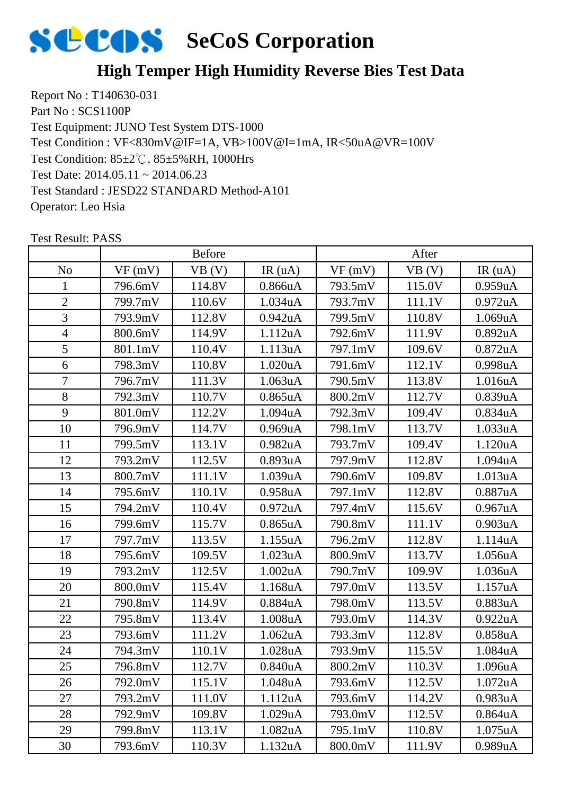

### **High Temper High Humidity Reverse Bies Test Data**

Report No : T140630-031 Part No : SCS1100P Test Equipment: JUNO Test System DTS-1000 Test Condition: 85±2℃, 85±5%RH, 1000Hrs Test Date: 2014.05.11 ~ 2014.06.23 Test Standard : JESD22 STANDARD Method-A101 Operator: Leo Hsia Test Condition : VF<830mV@IF=1A, VB>100V@I=1mA, IR<50uA@VR=100V

|                | <b>Before</b> |        |                      | After   |        |                      |
|----------------|---------------|--------|----------------------|---------|--------|----------------------|
| N <sub>o</sub> | VF(mV)        | VB (V) | IR(uA)               | VF(mV)  | VB (V) | IR(uA)               |
|                | 796.6mV       | 114.8V | 0.866uA              | 793.5mV | 115.0V | 0.959uA              |
| $\mathbf{2}$   | 799.7mV       | 110.6V | 1.034uA              | 793.7mV | 111.1V | 0.972 <sub>u</sub> A |
| 3              | 793.9mV       | 112.8V | 0.942 <sub>u</sub> A | 799.5mV | 110.8V | 1.069uA              |
| $\overline{4}$ | 800.6mV       | 114.9V | 1.112uA              | 792.6mV | 111.9V | 0.892uA              |
| 5              | 801.1mV       | 110.4V | 1.113uA              | 797.1mV | 109.6V | $0.872$ uA           |
| 6              | 798.3mV       | 110.8V | 1.020uA              | 791.6mV | 112.1V | 0.998uA              |
| $\overline{7}$ | 796.7mV       | 111.3V | 1.063uA              | 790.5mV | 113.8V | 1.016uA              |
| 8              | 792.3mV       | 110.7V | $0.865$ uA           | 800.2mV | 112.7V | 0.839uA              |
| 9              | 801.0mV       | 112.2V | 1.094uA              | 792.3mV | 109.4V | 0.834uA              |
| 10             | 796.9mV       | 114.7V | 0.969uA              | 798.1mV | 113.7V | 1.033uA              |
| 11             | 799.5mV       | 113.1V | 0.982 <sub>u</sub> A | 793.7mV | 109.4V | 1.120uA              |
| 12             | 793.2mV       | 112.5V | 0.893uA              | 797.9mV | 112.8V | 1.094uA              |
| 13             | 800.7mV       | 111.1V | 1.039uA              | 790.6mV | 109.8V | 1.013uA              |
| 14             | 795.6mV       | 110.1V | 0.958uA              | 797.1mV | 112.8V | 0.887uA              |
| 15             | 794.2mV       | 110.4V | 0.972 <sub>u</sub> A | 797.4mV | 115.6V | 0.967uA              |
| 16             | 799.6mV       | 115.7V | $0.865$ uA           | 790.8mV | 111.1V | 0.903uA              |
| 17             | 797.7mV       | 113.5V | 1.155uA              | 796.2mV | 112.8V | 1.114uA              |
| 18             | 795.6mV       | 109.5V | 1.023uA              | 800.9mV | 113.7V | 1.056uA              |
| 19             | 793.2mV       | 112.5V | 1.002uA              | 790.7mV | 109.9V | 1.036uA              |
| 20             | 800.0mV       | 115.4V | 1.168uA              | 797.0mV | 113.5V | 1.157uA              |
| 21             | 790.8mV       | 114.9V | 0.884uA              | 798.0mV | 113.5V | 0.883uA              |
| 22             | 795.8mV       | 113.4V | 1.008uA              | 793.0mV | 114.3V | 0.922uA              |
| 23             | 793.6mV       | 111.2V | 1.062uA              | 793.3mV | 112.8V | 0.858uA              |
| 24             | 794.3mV       | 110.1V | 1.028uA              | 793.9mV | 115.5V | 1.084uA              |
| 25             | 796.8mV       | 112.7V | 0.840uA              | 800.2mV | 110.3V | 1.096uA              |
| 26             | 792.0mV       | 115.1V | 1.048uA              | 793.6mV | 112.5V | 1.072 <sub>u</sub> A |
| 27             | 793.2mV       | 111.0V | 1.112uA              | 793.6mV | 114.2V | 0.983 <sub>u</sub> A |
| 28             | 792.9mV       | 109.8V | 1.029uA              | 793.0mV | 112.5V | 0.864uA              |
| 29             | 799.8mV       | 113.1V | 1.082uA              | 795.1mV | 110.8V | 1.075 <sub>u</sub> A |
| 30             | 793.6mV       | 110.3V | 1.132uA              | 800.0mV | 111.9V | 0.989uA              |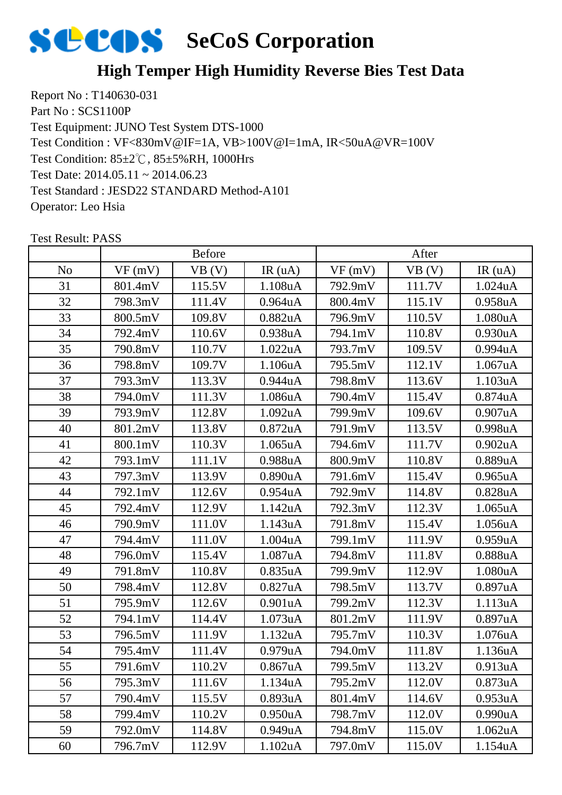

### **High Temper High Humidity Reverse Bies Test Data**

Report No : T140630-031 Part No : SCS1100P Test Equipment: JUNO Test System DTS-1000 Test Condition: 85±2℃, 85±5%RH, 1000Hrs Test Date: 2014.05.11 ~ 2014.06.23 Test Standard : JESD22 STANDARD Method-A101 Operator: Leo Hsia Test Condition : VF<830mV@IF=1A, VB>100V@I=1mA, IR<50uA@VR=100V

|                | <b>Before</b> |        |                      | After   |        |                      |
|----------------|---------------|--------|----------------------|---------|--------|----------------------|
| N <sub>o</sub> | VF(mV)        | VB (V) | IR(uA)               | VF(mV)  | VB (V) | IR(uA)               |
| 31             | 801.4mV       | 115.5V | 1.108uA              | 792.9mV | 111.7V | 1.024 <sub>u</sub> A |
| 32             | 798.3mV       | 111.4V | 0.964 <sub>u</sub> A | 800.4mV | 115.1V | 0.958 <sub>u</sub> A |
| 33             | 800.5mV       | 109.8V | 0.882 <sub>u</sub> A | 796.9mV | 110.5V | 1.080uA              |
| 34             | 792.4mV       | 110.6V | 0.938uA              | 794.1mV | 110.8V | 0.930uA              |
| 35             | 790.8mV       | 110.7V | 1.022uA              | 793.7mV | 109.5V | 0.994uA              |
| 36             | 798.8mV       | 109.7V | 1.106uA              | 795.5mV | 112.1V | 1.067uA              |
| 37             | 793.3mV       | 113.3V | 0.944uA              | 798.8mV | 113.6V | 1.103uA              |
| 38             | 794.0mV       | 111.3V | 1.086uA              | 790.4mV | 115.4V | 0.874 <sub>u</sub> A |
| 39             | 793.9mV       | 112.8V | 1.092uA              | 799.9mV | 109.6V | 0.907uA              |
| 40             | 801.2mV       | 113.8V | 0.872 <sub>u</sub> A | 791.9mV | 113.5V | 0.998uA              |
| 41             | 800.1mV       | 110.3V | 1.065uA              | 794.6mV | 111.7V | 0.902 <sub>u</sub> A |
| 42             | 793.1mV       | 111.1V | 0.988uA              | 800.9mV | 110.8V | 0.889uA              |
| 43             | 797.3mV       | 113.9V | 0.890 <sub>u</sub> A | 791.6mV | 115.4V | 0.965 <sub>u</sub> A |
| 44             | 792.1mV       | 112.6V | 0.954 <sub>u</sub> A | 792.9mV | 114.8V | 0.828uA              |
| 45             | 792.4mV       | 112.9V | 1.142uA              | 792.3mV | 112.3V | 1.065 <sub>u</sub> A |
| 46             | 790.9mV       | 111.0V | 1.143uA              | 791.8mV | 115.4V | 1.056uA              |
| 47             | 794.4mV       | 111.0V | 1.004uA              | 799.1mV | 111.9V | 0.959uA              |
| 48             | 796.0mV       | 115.4V | 1.087uA              | 794.8mV | 111.8V | 0.888uA              |
| 49             | 791.8mV       | 110.8V | 0.835uA              | 799.9mV | 112.9V | 1.080uA              |
| 50             | 798.4mV       | 112.8V | 0.827uA              | 798.5mV | 113.7V | 0.897uA              |
| 51             | 795.9mV       | 112.6V | 0.901uA              | 799.2mV | 112.3V | 1.113uA              |
| 52             | 794.1mV       | 114.4V | 1.073uA              | 801.2mV | 111.9V | 0.897uA              |
| 53             | 796.5mV       | 111.9V | 1.132uA              | 795.7mV | 110.3V | 1.076uA              |
| 54             | 795.4mV       | 111.4V | 0.979uA              | 794.0mV | 111.8V | 1.136uA              |
| 55             | 791.6mV       | 110.2V | 0.867uA              | 799.5mV | 113.2V | 0.913uA              |
| 56             | 795.3mV       | 111.6V | 1.134uA              | 795.2mV | 112.0V | 0.873 <sub>u</sub> A |
| 57             | 790.4mV       | 115.5V | 0.893uA              | 801.4mV | 114.6V | 0.953uA              |
| 58             | 799.4mV       | 110.2V | 0.950 <sub>u</sub> A | 798.7mV | 112.0V | 0.990uA              |
| 59             | 792.0mV       | 114.8V | 0.949uA              | 794.8mV | 115.0V | 1.062 <sub>u</sub> A |
| 60             | 796.7mV       | 112.9V | 1.102uA              | 797.0mV | 115.0V | 1.154uA              |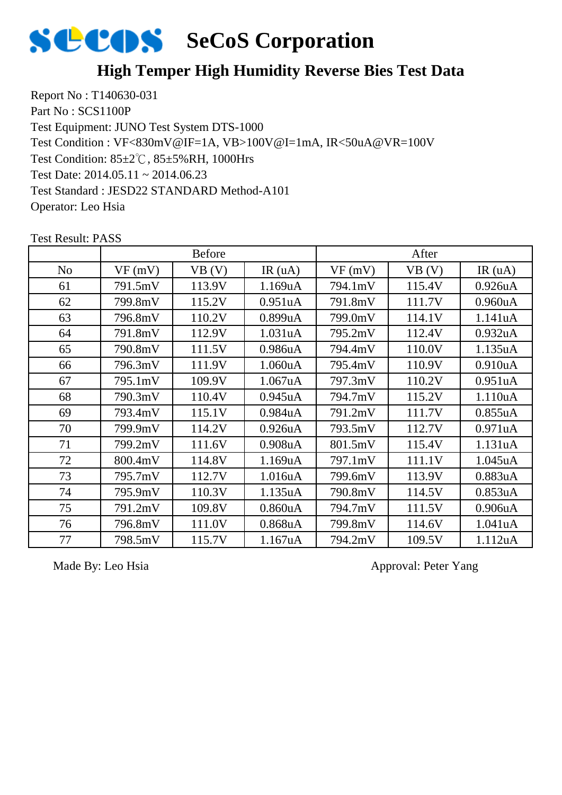

### **High Temper High Humidity Reverse Bies Test Data**

Report No : T140630-031 Part No : SCS1100P Test Equipment: JUNO Test System DTS-1000 Test Condition: 85±2℃, 85±5%RH, 1000Hrs Test Date: 2014.05.11 ~ 2014.06.23 Test Standard : JESD22 STANDARD Method-A101 Operator: Leo Hsia Test Condition : VF<830mV@IF=1A, VB>100V@I=1mA, IR<50uA@VR=100V

|                | <b>Before</b> |        |                      | After   |        |                      |
|----------------|---------------|--------|----------------------|---------|--------|----------------------|
| N <sub>0</sub> | VF(mV)        | VB(V)  | IR(uA)               | VF(mV)  | VB (V) | IR(uA)               |
| 61             | 791.5mV       | 113.9V | 1.169uA              | 794.1mV | 115.4V | 0.926 <sub>u</sub> A |
| 62             | 799.8mV       | 115.2V | 0.951uA              | 791.8mV | 111.7V | 0.960 <sub>u</sub> A |
| 63             | 796.8mV       | 110.2V | 0.899uA              | 799.0mV | 114.1V | 1.141uA              |
| 64             | 791.8mV       | 112.9V | 1.031uA              | 795.2mV | 112.4V | 0.932uA              |
| 65             | 790.8mV       | 111.5V | 0.986uA              | 794.4mV | 110.0V | 1.135uA              |
| 66             | 796.3mV       | 111.9V | 1.060uA              | 795.4mV | 110.9V | 0.910 <sub>u</sub> A |
| 67             | 795.1mV       | 109.9V | 1.067uA              | 797.3mV | 110.2V | 0.951uA              |
| 68             | 790.3mV       | 110.4V | 0.945 <sub>u</sub> A | 794.7mV | 115.2V | 1.110uA              |
| 69             | 793.4mV       | 115.1V | 0.984 <sub>u</sub> A | 791.2mV | 111.7V | 0.855uA              |
| 70             | 799.9mV       | 114.2V | 0.926 <sub>u</sub> A | 793.5mV | 112.7V | 0.971uA              |
| 71             | 799.2mV       | 111.6V | 0.908 <sub>u</sub> A | 801.5mV | 115.4V | 1.131uA              |
| 72             | 800.4mV       | 114.8V | 1.169uA              | 797.1mV | 111.1V | 1.045uA              |
| 73             | 795.7mV       | 112.7V | 1.016uA              | 799.6mV | 113.9V | 0.883uA              |
| 74             | 795.9mV       | 110.3V | 1.135uA              | 790.8mV | 114.5V | 0.853uA              |
| 75             | 791.2mV       | 109.8V | 0.860 <sub>u</sub> A | 794.7mV | 111.5V | 0.906 <sub>u</sub> A |
| 76             | 796.8mV       | 111.0V | $0.868$ uA           | 799.8mV | 114.6V | 1.041uA              |
| 77             | 798.5mV       | 115.7V | 1.167uA              | 794.2mV | 109.5V | 1.112uA              |

Test Result: PASS